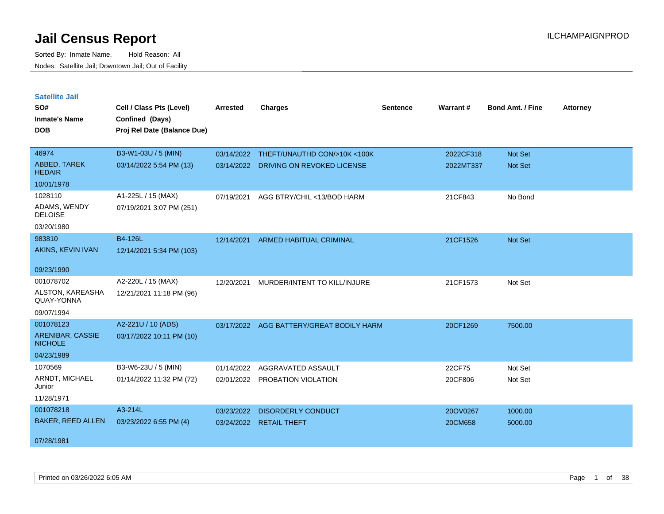| <b>Satellite Jail</b>              |                             |                 |                                |                 |           |                         |                 |
|------------------------------------|-----------------------------|-----------------|--------------------------------|-----------------|-----------|-------------------------|-----------------|
| SO#                                | Cell / Class Pts (Level)    | <b>Arrested</b> | <b>Charges</b>                 | <b>Sentence</b> | Warrant#  | <b>Bond Amt. / Fine</b> | <b>Attorney</b> |
| Inmate's Name                      | Confined (Days)             |                 |                                |                 |           |                         |                 |
| <b>DOB</b>                         | Proj Rel Date (Balance Due) |                 |                                |                 |           |                         |                 |
|                                    |                             |                 |                                |                 |           |                         |                 |
| 46974                              | B3-W1-03U / 5 (MIN)         | 03/14/2022      | THEFT/UNAUTHD CON/>10K <100K   |                 | 2022CF318 | <b>Not Set</b>          |                 |
| ABBED, TAREK<br><b>HEDAIR</b>      | 03/14/2022 5:54 PM (13)     | 03/14/2022      | DRIVING ON REVOKED LICENSE     |                 | 2022MT337 | Not Set                 |                 |
| 10/01/1978                         |                             |                 |                                |                 |           |                         |                 |
| 1028110                            | A1-225L / 15 (MAX)          | 07/19/2021      | AGG BTRY/CHIL <13/BOD HARM     |                 | 21CF843   | No Bond                 |                 |
| ADAMS, WENDY<br><b>DELOISE</b>     | 07/19/2021 3:07 PM (251)    |                 |                                |                 |           |                         |                 |
| 03/20/1980                         |                             |                 |                                |                 |           |                         |                 |
| 983810                             | B4-126L                     | 12/14/2021      | ARMED HABITUAL CRIMINAL        |                 | 21CF1526  | <b>Not Set</b>          |                 |
| AKINS, KEVIN IVAN                  | 12/14/2021 5:34 PM (103)    |                 |                                |                 |           |                         |                 |
|                                    |                             |                 |                                |                 |           |                         |                 |
| 09/23/1990                         |                             |                 |                                |                 |           |                         |                 |
| 001078702                          | A2-220L / 15 (MAX)          | 12/20/2021      | MURDER/INTENT TO KILL/INJURE   |                 | 21CF1573  | Not Set                 |                 |
| ALSTON, KAREASHA<br>QUAY-YONNA     | 12/21/2021 11:18 PM (96)    |                 |                                |                 |           |                         |                 |
| 09/07/1994                         |                             |                 |                                |                 |           |                         |                 |
| 001078123                          | A2-221U / 10 (ADS)          | 03/17/2022      | AGG BATTERY/GREAT BODILY HARM  |                 | 20CF1269  | 7500.00                 |                 |
| ARENIBAR, CASSIE<br><b>NICHOLE</b> | 03/17/2022 10:11 PM (10)    |                 |                                |                 |           |                         |                 |
| 04/23/1989                         |                             |                 |                                |                 |           |                         |                 |
| 1070569                            | B3-W6-23U / 5 (MIN)         | 01/14/2022      | AGGRAVATED ASSAULT             |                 | 22CF75    | Not Set                 |                 |
| ARNDT, MICHAEL<br>Junior           | 01/14/2022 11:32 PM (72)    |                 | 02/01/2022 PROBATION VIOLATION |                 | 20CF806   | Not Set                 |                 |
| 11/28/1971                         |                             |                 |                                |                 |           |                         |                 |
| 001078218                          | A3-214L                     | 03/23/2022      | <b>DISORDERLY CONDUCT</b>      |                 | 20OV0267  | 1000.00                 |                 |
| <b>BAKER, REED ALLEN</b>           | 03/23/2022 6:55 PM (4)      | 03/24/2022      | <b>RETAIL THEFT</b>            |                 | 20CM658   | 5000.00                 |                 |
| 07/28/1981                         |                             |                 |                                |                 |           |                         |                 |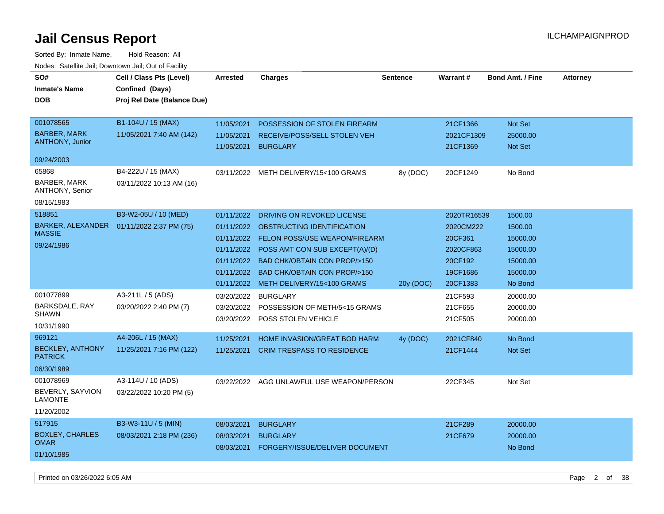| rougs. Calcing Jan, Downtown Jan, Out of Facinty |                             |                     |                                           |                 |             |                         |                 |
|--------------------------------------------------|-----------------------------|---------------------|-------------------------------------------|-----------------|-------------|-------------------------|-----------------|
| SO#                                              | Cell / Class Pts (Level)    | <b>Arrested</b>     | <b>Charges</b>                            | <b>Sentence</b> | Warrant#    | <b>Bond Amt. / Fine</b> | <b>Attorney</b> |
| <b>Inmate's Name</b>                             | Confined (Days)             |                     |                                           |                 |             |                         |                 |
| <b>DOB</b>                                       | Proj Rel Date (Balance Due) |                     |                                           |                 |             |                         |                 |
|                                                  |                             |                     |                                           |                 |             |                         |                 |
| 001078565                                        | B1-104U / 15 (MAX)          | 11/05/2021          | POSSESSION OF STOLEN FIREARM              |                 | 21CF1366    | Not Set                 |                 |
| <b>BARBER, MARK</b>                              | 11/05/2021 7:40 AM (142)    | 11/05/2021          | RECEIVE/POSS/SELL STOLEN VEH              |                 | 2021CF1309  | 25000.00                |                 |
| <b>ANTHONY, Junior</b>                           |                             | 11/05/2021 BURGLARY |                                           |                 | 21CF1369    | <b>Not Set</b>          |                 |
| 09/24/2003                                       |                             |                     |                                           |                 |             |                         |                 |
| 65868                                            | B4-222U / 15 (MAX)          |                     | 03/11/2022 METH DELIVERY/15<100 GRAMS     | 8y (DOC)        | 20CF1249    | No Bond                 |                 |
| BARBER, MARK<br>ANTHONY, Senior                  | 03/11/2022 10:13 AM (16)    |                     |                                           |                 |             |                         |                 |
| 08/15/1983                                       |                             |                     |                                           |                 |             |                         |                 |
| 518851                                           | B3-W2-05U / 10 (MED)        | 01/11/2022          | DRIVING ON REVOKED LICENSE                |                 | 2020TR16539 | 1500.00                 |                 |
| BARKER, ALEXANDER                                | 01/11/2022 2:37 PM (75)     |                     | 01/11/2022 OBSTRUCTING IDENTIFICATION     |                 | 2020CM222   | 1500.00                 |                 |
| <b>MASSIE</b>                                    |                             |                     | 01/11/2022 FELON POSS/USE WEAPON/FIREARM  |                 | 20CF361     | 15000.00                |                 |
| 09/24/1986                                       |                             |                     | 01/11/2022 POSS AMT CON SUB EXCEPT(A)/(D) |                 | 2020CF863   | 15000.00                |                 |
|                                                  |                             | 01/11/2022          | <b>BAD CHK/OBTAIN CON PROP/&gt;150</b>    |                 | 20CF192     | 15000.00                |                 |
|                                                  |                             | 01/11/2022          | BAD CHK/OBTAIN CON PROP/>150              |                 | 19CF1686    | 15000.00                |                 |
|                                                  |                             | 01/11/2022          | METH DELIVERY/15<100 GRAMS                | 20y (DOC)       | 20CF1383    | No Bond                 |                 |
| 001077899                                        | A3-211L / 5 (ADS)           | 03/20/2022          | <b>BURGLARY</b>                           |                 | 21CF593     | 20000.00                |                 |
| BARKSDALE, RAY                                   | 03/20/2022 2:40 PM (7)      | 03/20/2022          | POSSESSION OF METH/5<15 GRAMS             |                 | 21CF655     | 20000.00                |                 |
| <b>SHAWN</b>                                     |                             |                     | 03/20/2022 POSS STOLEN VEHICLE            |                 | 21CF505     | 20000.00                |                 |
| 10/31/1990                                       |                             |                     |                                           |                 |             |                         |                 |
| 969121                                           | A4-206L / 15 (MAX)          | 11/25/2021          | HOME INVASION/GREAT BOD HARM              | 4y (DOC)        | 2021CF840   | No Bond                 |                 |
| <b>BECKLEY, ANTHONY</b><br><b>PATRICK</b>        | 11/25/2021 7:16 PM (122)    |                     | 11/25/2021 CRIM TRESPASS TO RESIDENCE     |                 | 21CF1444    | <b>Not Set</b>          |                 |
| 06/30/1989                                       |                             |                     |                                           |                 |             |                         |                 |
| 001078969                                        | A3-114U / 10 (ADS)          |                     | 03/22/2022 AGG UNLAWFUL USE WEAPON/PERSON |                 | 22CF345     | Not Set                 |                 |
| BEVERLY, SAYVION<br><b>LAMONTE</b>               | 03/22/2022 10:20 PM (5)     |                     |                                           |                 |             |                         |                 |
| 11/20/2002                                       |                             |                     |                                           |                 |             |                         |                 |
| 517915                                           | B3-W3-11U / 5 (MIN)         | 08/03/2021          | <b>BURGLARY</b>                           |                 | 21CF289     | 20000.00                |                 |
| <b>BOXLEY, CHARLES</b>                           | 08/03/2021 2:18 PM (236)    | 08/03/2021          | <b>BURGLARY</b>                           |                 | 21CF679     | 20000.00                |                 |
| <b>OMAR</b>                                      |                             | 08/03/2021          | FORGERY/ISSUE/DELIVER DOCUMENT            |                 |             | No Bond                 |                 |
| 01/10/1985                                       |                             |                     |                                           |                 |             |                         |                 |
|                                                  |                             |                     |                                           |                 |             |                         |                 |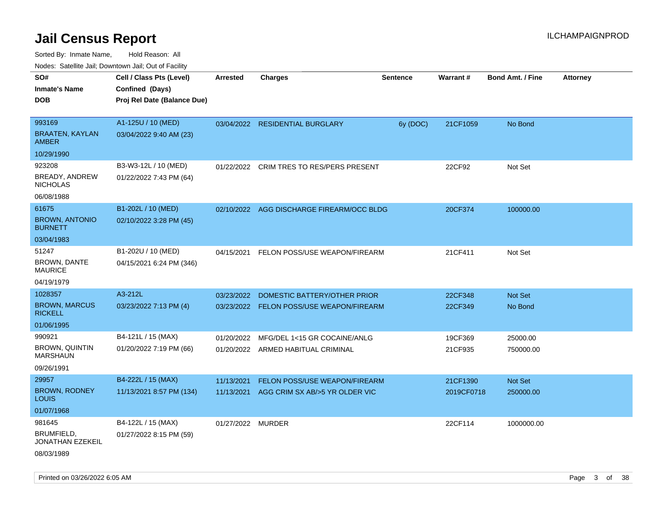Sorted By: Inmate Name, Hold Reason: All

|                                          | Nodes: Satellite Jail; Downtown Jail; Out of Facility |                   |                                           |                 |            |                         |                 |  |  |
|------------------------------------------|-------------------------------------------------------|-------------------|-------------------------------------------|-----------------|------------|-------------------------|-----------------|--|--|
| SO#                                      | Cell / Class Pts (Level)                              | <b>Arrested</b>   | <b>Charges</b>                            | <b>Sentence</b> | Warrant#   | <b>Bond Amt. / Fine</b> | <b>Attorney</b> |  |  |
| <b>Inmate's Name</b>                     | Confined (Days)                                       |                   |                                           |                 |            |                         |                 |  |  |
| <b>DOB</b>                               | Proj Rel Date (Balance Due)                           |                   |                                           |                 |            |                         |                 |  |  |
|                                          |                                                       |                   |                                           |                 |            |                         |                 |  |  |
| 993169                                   | A1-125U / 10 (MED)                                    |                   | 03/04/2022 RESIDENTIAL BURGLARY           | 6y (DOC)        | 21CF1059   | No Bond                 |                 |  |  |
| <b>BRAATEN, KAYLAN</b><br><b>AMBER</b>   | 03/04/2022 9:40 AM (23)                               |                   |                                           |                 |            |                         |                 |  |  |
| 10/29/1990                               |                                                       |                   |                                           |                 |            |                         |                 |  |  |
| 923208                                   | B3-W3-12L / 10 (MED)                                  | 01/22/2022        | <b>CRIM TRES TO RES/PERS PRESENT</b>      |                 | 22CF92     | Not Set                 |                 |  |  |
| BREADY, ANDREW<br><b>NICHOLAS</b>        | 01/22/2022 7:43 PM (64)                               |                   |                                           |                 |            |                         |                 |  |  |
| 06/08/1988                               |                                                       |                   |                                           |                 |            |                         |                 |  |  |
| 61675                                    | B1-202L / 10 (MED)                                    |                   | 02/10/2022 AGG DISCHARGE FIREARM/OCC BLDG |                 | 20CF374    | 100000.00               |                 |  |  |
| <b>BROWN, ANTONIO</b><br><b>BURNETT</b>  | 02/10/2022 3:28 PM (45)                               |                   |                                           |                 |            |                         |                 |  |  |
| 03/04/1983                               |                                                       |                   |                                           |                 |            |                         |                 |  |  |
| 51247                                    | B1-202U / 10 (MED)                                    | 04/15/2021        | FELON POSS/USE WEAPON/FIREARM             |                 | 21CF411    | Not Set                 |                 |  |  |
| BROWN, DANTE<br><b>MAURICE</b>           | 04/15/2021 6:24 PM (346)                              |                   |                                           |                 |            |                         |                 |  |  |
| 04/19/1979                               |                                                       |                   |                                           |                 |            |                         |                 |  |  |
| 1028357                                  | A3-212L                                               | 03/23/2022        | DOMESTIC BATTERY/OTHER PRIOR              |                 | 22CF348    | Not Set                 |                 |  |  |
| <b>BROWN, MARCUS</b><br><b>RICKELL</b>   | 03/23/2022 7:13 PM (4)                                |                   | 03/23/2022 FELON POSS/USE WEAPON/FIREARM  |                 | 22CF349    | No Bond                 |                 |  |  |
| 01/06/1995                               |                                                       |                   |                                           |                 |            |                         |                 |  |  |
| 990921                                   | B4-121L / 15 (MAX)                                    | 01/20/2022        | MFG/DEL 1<15 GR COCAINE/ANLG              |                 | 19CF369    | 25000.00                |                 |  |  |
| <b>BROWN, QUINTIN</b><br><b>MARSHAUN</b> | 01/20/2022 7:19 PM (66)                               |                   | 01/20/2022 ARMED HABITUAL CRIMINAL        |                 | 21CF935    | 750000.00               |                 |  |  |
| 09/26/1991                               |                                                       |                   |                                           |                 |            |                         |                 |  |  |
| 29957                                    | B4-222L / 15 (MAX)                                    | 11/13/2021        | FELON POSS/USE WEAPON/FIREARM             |                 | 21CF1390   | Not Set                 |                 |  |  |
| <b>BROWN, RODNEY</b><br><b>LOUIS</b>     | 11/13/2021 8:57 PM (134)                              | 11/13/2021        | AGG CRIM SX AB/>5 YR OLDER VIC            |                 | 2019CF0718 | 250000.00               |                 |  |  |
| 01/07/1968                               |                                                       |                   |                                           |                 |            |                         |                 |  |  |
| 981645                                   | B4-122L / 15 (MAX)                                    | 01/27/2022 MURDER |                                           |                 | 22CF114    | 1000000.00              |                 |  |  |
| BRUMFIELD,<br>JONATHAN EZEKEIL           | 01/27/2022 8:15 PM (59)                               |                   |                                           |                 |            |                         |                 |  |  |
| 08/03/1989                               |                                                       |                   |                                           |                 |            |                         |                 |  |  |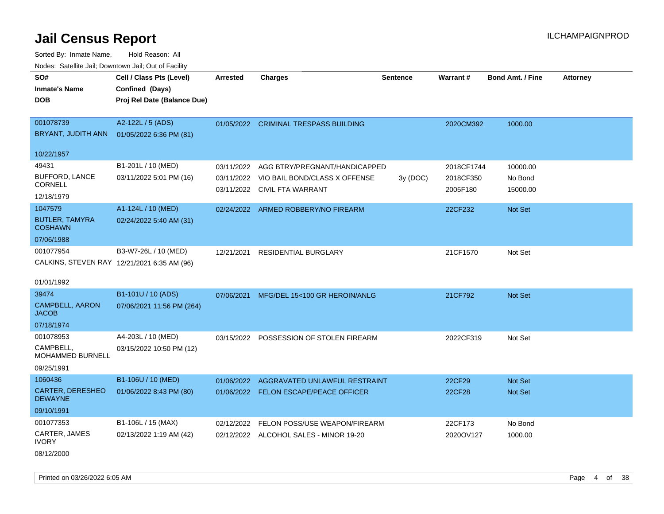Sorted By: Inmate Name, Hold Reason: All Nodes: Satellite Jail; Downtown Jail; Out of Facility

| roaco. Catolino cali, Domntonn cali, Out of Facility |                             |                 |                                          |                 |            |                         |                 |
|------------------------------------------------------|-----------------------------|-----------------|------------------------------------------|-----------------|------------|-------------------------|-----------------|
| SO#                                                  | Cell / Class Pts (Level)    | <b>Arrested</b> | <b>Charges</b>                           | <b>Sentence</b> | Warrant#   | <b>Bond Amt. / Fine</b> | <b>Attorney</b> |
| <b>Inmate's Name</b>                                 | Confined (Days)             |                 |                                          |                 |            |                         |                 |
| <b>DOB</b>                                           | Proj Rel Date (Balance Due) |                 |                                          |                 |            |                         |                 |
|                                                      |                             |                 |                                          |                 |            |                         |                 |
| 001078739                                            | A2-122L / 5 (ADS)           |                 | 01/05/2022 CRIMINAL TRESPASS BUILDING    |                 | 2020CM392  | 1000.00                 |                 |
| BRYANT, JUDITH ANN                                   | 01/05/2022 6:36 PM (81)     |                 |                                          |                 |            |                         |                 |
|                                                      |                             |                 |                                          |                 |            |                         |                 |
| 10/22/1957                                           |                             |                 |                                          |                 |            |                         |                 |
| 49431                                                | B1-201L / 10 (MED)          | 03/11/2022      | AGG BTRY/PREGNANT/HANDICAPPED            |                 | 2018CF1744 | 10000.00                |                 |
| <b>BUFFORD, LANCE</b>                                | 03/11/2022 5:01 PM (16)     | 03/11/2022      | VIO BAIL BOND/CLASS X OFFENSE            | 3y (DOC)        | 2018CF350  | No Bond                 |                 |
| <b>CORNELL</b>                                       |                             |                 | 03/11/2022 CIVIL FTA WARRANT             |                 | 2005F180   | 15000.00                |                 |
| 12/18/1979                                           |                             |                 |                                          |                 |            |                         |                 |
| 1047579                                              | A1-124L / 10 (MED)          |                 | 02/24/2022 ARMED ROBBERY/NO FIREARM      |                 | 22CF232    | Not Set                 |                 |
| <b>BUTLER, TAMYRA</b><br><b>COSHAWN</b>              | 02/24/2022 5:40 AM (31)     |                 |                                          |                 |            |                         |                 |
| 07/06/1988                                           |                             |                 |                                          |                 |            |                         |                 |
| 001077954                                            | B3-W7-26L / 10 (MED)        | 12/21/2021      | <b>RESIDENTIAL BURGLARY</b>              |                 | 21CF1570   | Not Set                 |                 |
| CALKINS, STEVEN RAY 12/21/2021 6:35 AM (96)          |                             |                 |                                          |                 |            |                         |                 |
|                                                      |                             |                 |                                          |                 |            |                         |                 |
| 01/01/1992                                           |                             |                 |                                          |                 |            |                         |                 |
| 39474                                                | B1-101U / 10 (ADS)          | 07/06/2021      | MFG/DEL 15<100 GR HEROIN/ANLG            |                 | 21CF792    | Not Set                 |                 |
| <b>CAMPBELL, AARON</b><br><b>JACOB</b>               | 07/06/2021 11:56 PM (264)   |                 |                                          |                 |            |                         |                 |
| 07/18/1974                                           |                             |                 |                                          |                 |            |                         |                 |
| 001078953                                            | A4-203L / 10 (MED)          |                 | 03/15/2022 POSSESSION OF STOLEN FIREARM  |                 | 2022CF319  | Not Set                 |                 |
| <b>CAMPBELL</b><br>MOHAMMED BURNELL                  | 03/15/2022 10:50 PM (12)    |                 |                                          |                 |            |                         |                 |
| 09/25/1991                                           |                             |                 |                                          |                 |            |                         |                 |
| 1060436                                              | B1-106U / 10 (MED)          |                 | 01/06/2022 AGGRAVATED UNLAWFUL RESTRAINT |                 | 22CF29     | Not Set                 |                 |
| CARTER, DERESHEO<br><b>DEWAYNE</b>                   | 01/06/2022 8:43 PM (80)     |                 | 01/06/2022 FELON ESCAPE/PEACE OFFICER    |                 | 22CF28     | Not Set                 |                 |
| 09/10/1991                                           |                             |                 |                                          |                 |            |                         |                 |
| 001077353                                            | B1-106L / 15 (MAX)          | 02/12/2022      | FELON POSS/USE WEAPON/FIREARM            |                 | 22CF173    | No Bond                 |                 |
| CARTER, JAMES<br><b>IVORY</b>                        | 02/13/2022 1:19 AM (42)     |                 | 02/12/2022 ALCOHOL SALES - MINOR 19-20   |                 | 2020OV127  | 1000.00                 |                 |
| 08/12/2000                                           |                             |                 |                                          |                 |            |                         |                 |

Printed on 03/26/2022 6:05 AM Page 4 of 38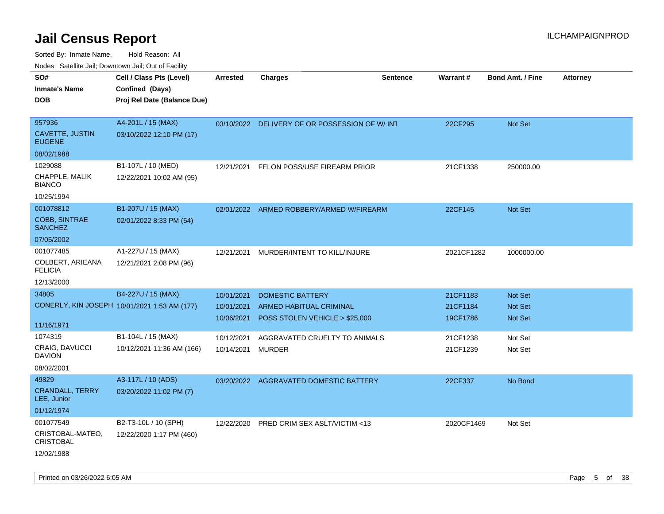| roaco. Calcinio dan, Downtown dan, Oal or Fability |                                              |            |                                               |                 |            |                         |                 |
|----------------------------------------------------|----------------------------------------------|------------|-----------------------------------------------|-----------------|------------|-------------------------|-----------------|
| SO#                                                | Cell / Class Pts (Level)                     | Arrested   | Charges                                       | <b>Sentence</b> | Warrant#   | <b>Bond Amt. / Fine</b> | <b>Attorney</b> |
| Inmate's Name                                      | Confined (Days)                              |            |                                               |                 |            |                         |                 |
| DOB                                                | Proj Rel Date (Balance Due)                  |            |                                               |                 |            |                         |                 |
|                                                    |                                              |            |                                               |                 |            |                         |                 |
| 957936                                             | A4-201L / 15 (MAX)                           |            | 03/10/2022 DELIVERY OF OR POSSESSION OF W/INT |                 | 22CF295    | Not Set                 |                 |
| <b>CAVETTE, JUSTIN</b><br><b>EUGENE</b>            | 03/10/2022 12:10 PM (17)                     |            |                                               |                 |            |                         |                 |
| 08/02/1988                                         |                                              |            |                                               |                 |            |                         |                 |
| 1029088                                            | B1-107L / 10 (MED)                           | 12/21/2021 | FELON POSS/USE FIREARM PRIOR                  |                 | 21CF1338   | 250000.00               |                 |
| CHAPPLE, MALIK<br>BIANCO                           | 12/22/2021 10:02 AM (95)                     |            |                                               |                 |            |                         |                 |
| 10/25/1994                                         |                                              |            |                                               |                 |            |                         |                 |
| 001078812                                          | B1-207U / 15 (MAX)                           | 02/01/2022 | ARMED ROBBERY/ARMED W/FIREARM                 |                 | 22CF145    | Not Set                 |                 |
| <b>COBB, SINTRAE</b><br><b>SANCHEZ</b>             | 02/01/2022 8:33 PM (54)                      |            |                                               |                 |            |                         |                 |
| 07/05/2002                                         |                                              |            |                                               |                 |            |                         |                 |
| 001077485                                          | A1-227U / 15 (MAX)                           | 12/21/2021 | MURDER/INTENT TO KILL/INJURE                  |                 | 2021CF1282 | 1000000.00              |                 |
| COLBERT, ARIEANA<br><b>FELICIA</b>                 | 12/21/2021 2:08 PM (96)                      |            |                                               |                 |            |                         |                 |
| 12/13/2000                                         |                                              |            |                                               |                 |            |                         |                 |
| 34805                                              | B4-227U / 15 (MAX)                           | 10/01/2021 | <b>DOMESTIC BATTERY</b>                       |                 | 21CF1183   | <b>Not Set</b>          |                 |
|                                                    | CONERLY, KIN JOSEPH 10/01/2021 1:53 AM (177) | 10/01/2021 | ARMED HABITUAL CRIMINAL                       |                 | 21CF1184   | Not Set                 |                 |
|                                                    |                                              | 10/06/2021 | POSS STOLEN VEHICLE > \$25,000                |                 | 19CF1786   | <b>Not Set</b>          |                 |
| 11/16/1971                                         |                                              |            |                                               |                 |            |                         |                 |
| 1074319                                            | B1-104L / 15 (MAX)                           | 10/12/2021 | AGGRAVATED CRUELTY TO ANIMALS                 |                 | 21CF1238   | Not Set                 |                 |
| CRAIG, DAVUCCI<br>DAVION                           | 10/12/2021 11:36 AM (166)                    | 10/14/2021 | MURDER                                        |                 | 21CF1239   | Not Set                 |                 |
| 08/02/2001                                         |                                              |            |                                               |                 |            |                         |                 |
| 49829                                              | A3-117L / 10 (ADS)                           | 03/20/2022 | AGGRAVATED DOMESTIC BATTERY                   |                 | 22CF337    | No Bond                 |                 |
| <b>CRANDALL, TERRY</b><br>LEE, Junior              | 03/20/2022 11:02 PM (7)                      |            |                                               |                 |            |                         |                 |
| 01/12/1974                                         |                                              |            |                                               |                 |            |                         |                 |
| 001077549                                          | B2-T3-10L / 10 (SPH)                         | 12/22/2020 | <b>PRED CRIM SEX ASLT/VICTIM &lt;13</b>       |                 | 2020CF1469 | Not Set                 |                 |
| CRISTOBAL-MATEO,<br><b>CRISTOBAL</b>               | 12/22/2020 1:17 PM (460)                     |            |                                               |                 |            |                         |                 |
| 12/02/1988                                         |                                              |            |                                               |                 |            |                         |                 |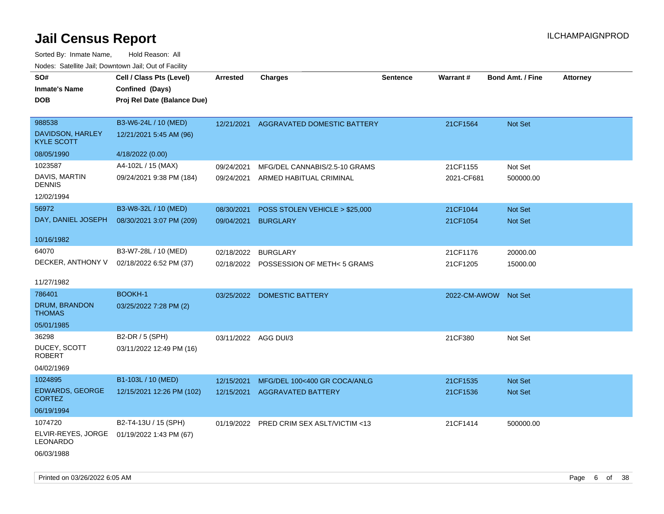| SO#<br><b>Inmate's Name</b><br><b>DOB</b>                      | Cell / Class Pts (Level)<br>Confined (Days)<br>Proj Rel Date (Balance Due) | <b>Arrested</b>          | <b>Charges</b>                                                | <b>Sentence</b> | <b>Warrant#</b>        | <b>Bond Amt. / Fine</b> | <b>Attorney</b> |
|----------------------------------------------------------------|----------------------------------------------------------------------------|--------------------------|---------------------------------------------------------------|-----------------|------------------------|-------------------------|-----------------|
| 988538<br>DAVIDSON, HARLEY<br><b>KYLE SCOTT</b><br>08/05/1990  | B3-W6-24L / 10 (MED)<br>12/21/2021 5:45 AM (96)<br>4/18/2022 (0.00)        | 12/21/2021               | AGGRAVATED DOMESTIC BATTERY                                   |                 | 21CF1564               | Not Set                 |                 |
| 1023587<br>DAVIS, MARTIN<br><b>DENNIS</b><br>12/02/1994        | A4-102L / 15 (MAX)<br>09/24/2021 9:38 PM (184)                             | 09/24/2021<br>09/24/2021 | MFG/DEL CANNABIS/2.5-10 GRAMS<br>ARMED HABITUAL CRIMINAL      |                 | 21CF1155<br>2021-CF681 | Not Set<br>500000.00    |                 |
| 56972<br>DAY, DANIEL JOSEPH<br>10/16/1982                      | B3-W8-32L / 10 (MED)<br>08/30/2021 3:07 PM (209)                           | 08/30/2021<br>09/04/2021 | POSS STOLEN VEHICLE > \$25,000<br><b>BURGLARY</b>             |                 | 21CF1044<br>21CF1054   | Not Set<br>Not Set      |                 |
| 64070<br>DECKER, ANTHONY V<br>11/27/1982                       | B3-W7-28L / 10 (MED)<br>02/18/2022 6:52 PM (37)                            | 02/18/2022               | 02/18/2022 BURGLARY<br>POSSESSION OF METH<5 GRAMS             |                 | 21CF1176<br>21CF1205   | 20000.00<br>15000.00    |                 |
| 786401<br>DRUM, BRANDON<br><b>THOMAS</b><br>05/01/1985         | BOOKH-1<br>03/25/2022 7:28 PM (2)                                          | 03/25/2022               | DOMESTIC BATTERY                                              |                 | 2022-CM-AWOW Not Set   |                         |                 |
| 36298<br>DUCEY, SCOTT<br><b>ROBERT</b><br>04/02/1969           | B2-DR / 5 (SPH)<br>03/11/2022 12:49 PM (16)                                |                          | 03/11/2022 AGG DUI/3                                          |                 | 21CF380                | Not Set                 |                 |
| 1024895<br>EDWARDS, GEORGE<br><b>CORTEZ</b><br>06/19/1994      | B1-103L / 10 (MED)<br>12/15/2021 12:26 PM (102)                            | 12/15/2021               | MFG/DEL 100<400 GR COCA/ANLG<br>12/15/2021 AGGRAVATED BATTERY |                 | 21CF1535<br>21CF1536   | Not Set<br>Not Set      |                 |
| 1074720<br>ELVIR-REYES, JORGE<br><b>LEONARDO</b><br>06/03/1988 | B2-T4-13U / 15 (SPH)<br>01/19/2022 1:43 PM (67)                            |                          | 01/19/2022 PRED CRIM SEX ASLT/VICTIM <13                      |                 | 21CF1414               | 500000.00               |                 |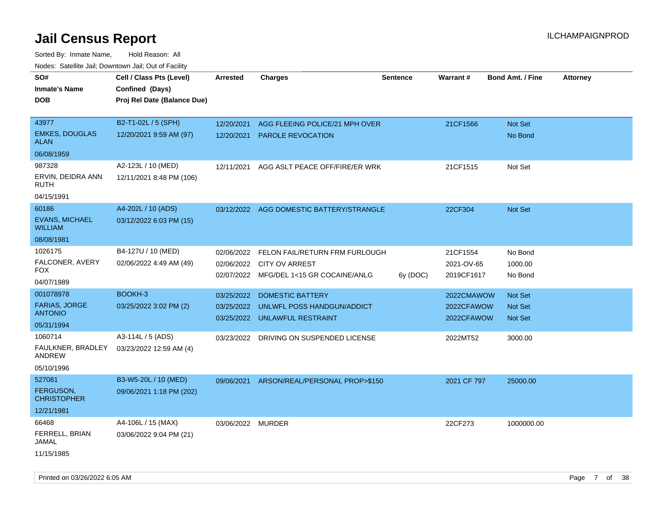Sorted By: Inmate Name, Hold Reason: All Nodes: Satellite Jail; Downtown Jail; Out of Facility

| SO#                                     | Cell / Class Pts (Level)    | <b>Arrested</b>   | <b>Charges</b>                           | <b>Sentence</b> | Warrant#    | <b>Bond Amt. / Fine</b> | <b>Attorney</b> |
|-----------------------------------------|-----------------------------|-------------------|------------------------------------------|-----------------|-------------|-------------------------|-----------------|
| <b>Inmate's Name</b>                    | Confined (Days)             |                   |                                          |                 |             |                         |                 |
| <b>DOB</b>                              | Proj Rel Date (Balance Due) |                   |                                          |                 |             |                         |                 |
|                                         |                             |                   |                                          |                 |             |                         |                 |
| 43977                                   | B2-T1-02L / 5 (SPH)         | 12/20/2021        | AGG FLEEING POLICE/21 MPH OVER           |                 | 21CF1566    | Not Set                 |                 |
| <b>EMKES, DOUGLAS</b><br><b>ALAN</b>    | 12/20/2021 9:59 AM (97)     | 12/20/2021        | PAROLE REVOCATION                        |                 |             | No Bond                 |                 |
| 06/08/1959                              |                             |                   |                                          |                 |             |                         |                 |
| 987328                                  | A2-123L / 10 (MED)          | 12/11/2021        | AGG ASLT PEACE OFF/FIRE/ER WRK           |                 | 21CF1515    | Not Set                 |                 |
| ERVIN, DEIDRA ANN<br><b>RUTH</b>        | 12/11/2021 8:48 PM (106)    |                   |                                          |                 |             |                         |                 |
| 04/15/1991                              |                             |                   |                                          |                 |             |                         |                 |
| 60186                                   | A4-202L / 10 (ADS)          |                   | 03/12/2022 AGG DOMESTIC BATTERY/STRANGLE |                 | 22CF304     | Not Set                 |                 |
| <b>EVANS, MICHAEL</b><br><b>WILLIAM</b> | 03/12/2022 6:03 PM (15)     |                   |                                          |                 |             |                         |                 |
| 08/08/1981                              |                             |                   |                                          |                 |             |                         |                 |
| 1026175                                 | B4-127U / 10 (MED)          | 02/06/2022        | FELON FAIL/RETURN FRM FURLOUGH           |                 | 21CF1554    | No Bond                 |                 |
| FALCONER, AVERY                         | 02/06/2022 4:49 AM (49)     | 02/06/2022        | <b>CITY OV ARREST</b>                    |                 | 2021-OV-65  | 1000.00                 |                 |
| <b>FOX</b>                              |                             |                   | 02/07/2022 MFG/DEL 1<15 GR COCAINE/ANLG  | 6y (DOC)        | 2019CF1617  | No Bond                 |                 |
| 04/07/1989                              |                             |                   |                                          |                 |             |                         |                 |
| 001078978                               | BOOKH-3                     | 03/25/2022        | DOMESTIC BATTERY                         |                 | 2022CMAWOW  | Not Set                 |                 |
| <b>FARIAS, JORGE</b><br><b>ANTONIO</b>  | 03/25/2022 3:02 PM (2)      | 03/25/2022        | UNLWFL POSS HANDGUN/ADDICT               |                 | 2022CFAWOW  | <b>Not Set</b>          |                 |
| 05/31/1994                              |                             | 03/25/2022        | UNLAWFUL RESTRAINT                       |                 | 2022CFAWOW  | <b>Not Set</b>          |                 |
| 1060714                                 | A3-114L / 5 (ADS)           |                   | 03/23/2022 DRIVING ON SUSPENDED LICENSE  |                 | 2022MT52    | 3000.00                 |                 |
| FAULKNER, BRADLEY<br><b>ANDREW</b>      | 03/23/2022 12:59 AM (4)     |                   |                                          |                 |             |                         |                 |
| 05/10/1996                              |                             |                   |                                          |                 |             |                         |                 |
| 527081                                  | B3-W5-20L / 10 (MED)        | 09/06/2021        | ARSON/REAL/PERSONAL PROP>\$150           |                 | 2021 CF 797 | 25000.00                |                 |
| <b>FERGUSON,</b><br><b>CHRISTOPHER</b>  | 09/06/2021 1:18 PM (202)    |                   |                                          |                 |             |                         |                 |
| 12/21/1981                              |                             |                   |                                          |                 |             |                         |                 |
| 66468                                   | A4-106L / 15 (MAX)          | 03/06/2022 MURDER |                                          |                 | 22CF273     | 1000000.00              |                 |
| FERRELL, BRIAN<br>JAMAL                 | 03/06/2022 9:04 PM (21)     |                   |                                          |                 |             |                         |                 |
| 11/15/1985                              |                             |                   |                                          |                 |             |                         |                 |

Printed on 03/26/2022 6:05 AM Page 7 of 38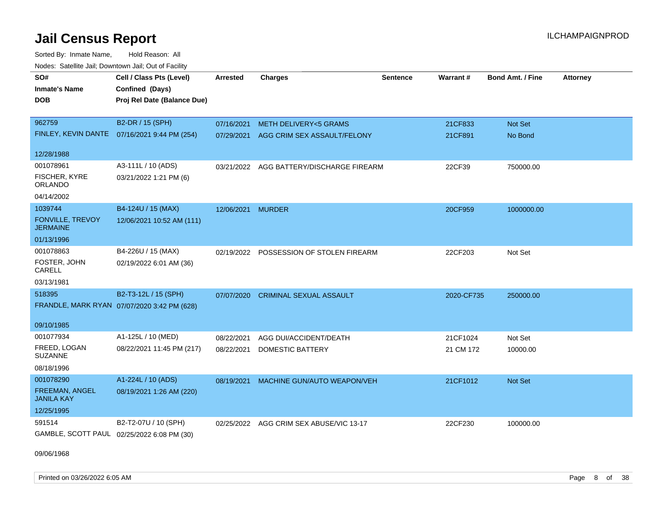Sorted By: Inmate Name, Hold Reason: All Nodes: Satellite Jail; Downtown Jail; Out of Facility

| SO#<br><b>Inmate's Name</b><br><b>DOB</b>  | Cell / Class Pts (Level)<br>Confined (Days)<br>Proj Rel Date (Balance Due) | <b>Arrested</b> | <b>Charges</b>                           | <b>Sentence</b> | <b>Warrant#</b> | <b>Bond Amt. / Fine</b> | <b>Attorney</b> |
|--------------------------------------------|----------------------------------------------------------------------------|-----------------|------------------------------------------|-----------------|-----------------|-------------------------|-----------------|
|                                            |                                                                            |                 |                                          |                 |                 |                         |                 |
| 962759                                     | B2-DR / 15 (SPH)                                                           | 07/16/2021      | <b>METH DELIVERY&lt;5 GRAMS</b>          |                 | 21CF833         | Not Set                 |                 |
|                                            | FINLEY, KEVIN DANTE 07/16/2021 9:44 PM (254)                               | 07/29/2021      | AGG CRIM SEX ASSAULT/FELONY              |                 | 21CF891         | No Bond                 |                 |
| 12/28/1988                                 |                                                                            |                 |                                          |                 |                 |                         |                 |
| 001078961                                  | A3-111L / 10 (ADS)                                                         |                 | 03/21/2022 AGG BATTERY/DISCHARGE FIREARM |                 | 22CF39          | 750000.00               |                 |
| FISCHER, KYRE<br><b>ORLANDO</b>            | 03/21/2022 1:21 PM (6)                                                     |                 |                                          |                 |                 |                         |                 |
| 04/14/2002                                 |                                                                            |                 |                                          |                 |                 |                         |                 |
| 1039744                                    | B4-124U / 15 (MAX)                                                         | 12/06/2021      | <b>MURDER</b>                            |                 | 20CF959         | 1000000.00              |                 |
| <b>FONVILLE, TREVOY</b><br><b>JERMAINE</b> | 12/06/2021 10:52 AM (111)                                                  |                 |                                          |                 |                 |                         |                 |
| 01/13/1996                                 |                                                                            |                 |                                          |                 |                 |                         |                 |
| 001078863                                  | B4-226U / 15 (MAX)                                                         | 02/19/2022      | POSSESSION OF STOLEN FIREARM             |                 | 22CF203         | Not Set                 |                 |
| FOSTER, JOHN<br>CARELL                     | 02/19/2022 6:01 AM (36)                                                    |                 |                                          |                 |                 |                         |                 |
| 03/13/1981                                 |                                                                            |                 |                                          |                 |                 |                         |                 |
| 518395                                     | B2-T3-12L / 15 (SPH)                                                       | 07/07/2020      | <b>CRIMINAL SEXUAL ASSAULT</b>           |                 | 2020-CF735      | 250000.00               |                 |
|                                            | FRANDLE, MARK RYAN 07/07/2020 3:42 PM (628)                                |                 |                                          |                 |                 |                         |                 |
| 09/10/1985                                 |                                                                            |                 |                                          |                 |                 |                         |                 |
| 001077934                                  | A1-125L / 10 (MED)                                                         | 08/22/2021      | AGG DUI/ACCIDENT/DEATH                   |                 | 21CF1024        | Not Set                 |                 |
| FREED, LOGAN<br><b>SUZANNE</b>             | 08/22/2021 11:45 PM (217)                                                  | 08/22/2021      | <b>DOMESTIC BATTERY</b>                  |                 | 21 CM 172       | 10000.00                |                 |
| 08/18/1996                                 |                                                                            |                 |                                          |                 |                 |                         |                 |
| 001078290                                  | A1-224L / 10 (ADS)                                                         | 08/19/2021      | MACHINE GUN/AUTO WEAPON/VEH              |                 | 21CF1012        | Not Set                 |                 |
| FREEMAN, ANGEL<br><b>JANILA KAY</b>        | 08/19/2021 1:26 AM (220)                                                   |                 |                                          |                 |                 |                         |                 |
| 12/25/1995                                 |                                                                            |                 |                                          |                 |                 |                         |                 |
| 591514                                     | B2-T2-07U / 10 (SPH)                                                       | 02/25/2022      | AGG CRIM SEX ABUSE/VIC 13-17             |                 | 22CF230         | 100000.00               |                 |
| GAMBLE, SCOTT PAUL 02/25/2022 6:08 PM (30) |                                                                            |                 |                                          |                 |                 |                         |                 |

09/06/1968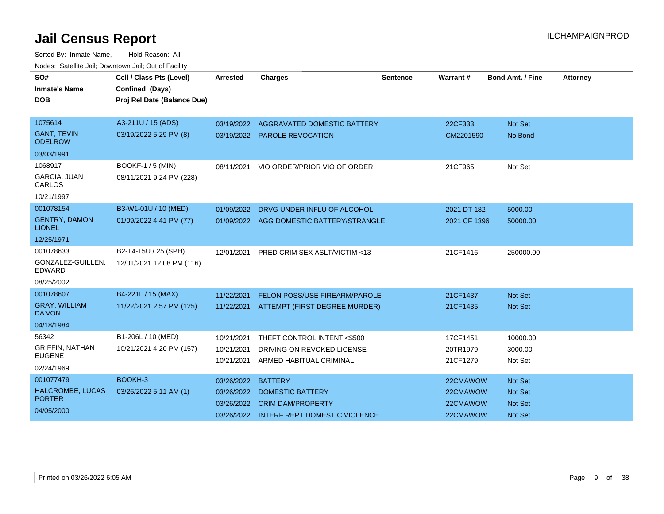| SO#                                   | Cell / Class Pts (Level)    | <b>Arrested</b> | <b>Charges</b>                           | <b>Sentence</b> | Warrant#     | <b>Bond Amt. / Fine</b> | <b>Attorney</b> |
|---------------------------------------|-----------------------------|-----------------|------------------------------------------|-----------------|--------------|-------------------------|-----------------|
| <b>Inmate's Name</b>                  | Confined (Days)             |                 |                                          |                 |              |                         |                 |
| <b>DOB</b>                            | Proj Rel Date (Balance Due) |                 |                                          |                 |              |                         |                 |
|                                       |                             |                 |                                          |                 |              |                         |                 |
| 1075614                               | A3-211U / 15 (ADS)          |                 | 03/19/2022 AGGRAVATED DOMESTIC BATTERY   |                 | 22CF333      | Not Set                 |                 |
| <b>GANT, TEVIN</b><br><b>ODELROW</b>  | 03/19/2022 5:29 PM (8)      |                 | 03/19/2022 PAROLE REVOCATION             |                 | CM2201590    | No Bond                 |                 |
| 03/03/1991                            |                             |                 |                                          |                 |              |                         |                 |
| 1068917                               | BOOKF-1 / 5 (MIN)           | 08/11/2021      | VIO ORDER/PRIOR VIO OF ORDER             |                 | 21CF965      | Not Set                 |                 |
| GARCIA, JUAN<br>CARLOS                | 08/11/2021 9:24 PM (228)    |                 |                                          |                 |              |                         |                 |
| 10/21/1997                            |                             |                 |                                          |                 |              |                         |                 |
| 001078154                             | B3-W1-01U / 10 (MED)        | 01/09/2022      | DRVG UNDER INFLU OF ALCOHOL              |                 | 2021 DT 182  | 5000.00                 |                 |
| <b>GENTRY, DAMON</b><br><b>LIONEL</b> | 01/09/2022 4:41 PM (77)     |                 | 01/09/2022 AGG DOMESTIC BATTERY/STRANGLE |                 | 2021 CF 1396 | 50000.00                |                 |
| 12/25/1971                            |                             |                 |                                          |                 |              |                         |                 |
| 001078633                             | B2-T4-15U / 25 (SPH)        | 12/01/2021      | PRED CRIM SEX ASLT/VICTIM <13            |                 | 21CF1416     | 250000.00               |                 |
| GONZALEZ-GUILLEN,<br><b>EDWARD</b>    | 12/01/2021 12:08 PM (116)   |                 |                                          |                 |              |                         |                 |
| 08/25/2002                            |                             |                 |                                          |                 |              |                         |                 |
| 001078607                             | B4-221L / 15 (MAX)          | 11/22/2021      | <b>FELON POSS/USE FIREARM/PAROLE</b>     |                 | 21CF1437     | Not Set                 |                 |
| <b>GRAY, WILLIAM</b><br><b>DA'VON</b> | 11/22/2021 2:57 PM (125)    |                 | 11/22/2021 ATTEMPT (FIRST DEGREE MURDER) |                 | 21CF1435     | Not Set                 |                 |
| 04/18/1984                            |                             |                 |                                          |                 |              |                         |                 |
| 56342                                 | B1-206L / 10 (MED)          | 10/21/2021      | THEFT CONTROL INTENT <\$500              |                 | 17CF1451     | 10000.00                |                 |
| <b>GRIFFIN, NATHAN</b>                | 10/21/2021 4:20 PM (157)    | 10/21/2021      | DRIVING ON REVOKED LICENSE               |                 | 20TR1979     | 3000.00                 |                 |
| <b>EUGENE</b>                         |                             | 10/21/2021      | ARMED HABITUAL CRIMINAL                  |                 | 21CF1279     | Not Set                 |                 |
| 02/24/1969                            |                             |                 |                                          |                 |              |                         |                 |
| 001077479                             | BOOKH-3                     | 03/26/2022      | <b>BATTERY</b>                           |                 | 22CMAWOW     | Not Set                 |                 |
| HALCROMBE, LUCAS<br><b>PORTER</b>     | 03/26/2022 5:11 AM (1)      | 03/26/2022      | <b>DOMESTIC BATTERY</b>                  |                 | 22CMAWOW     | <b>Not Set</b>          |                 |
| 04/05/2000                            |                             | 03/26/2022      | <b>CRIM DAM/PROPERTY</b>                 |                 | 22CMAWOW     | <b>Not Set</b>          |                 |
|                                       |                             |                 | 03/26/2022 INTERF REPT DOMESTIC VIOLENCE |                 | 22CMAWOW     | <b>Not Set</b>          |                 |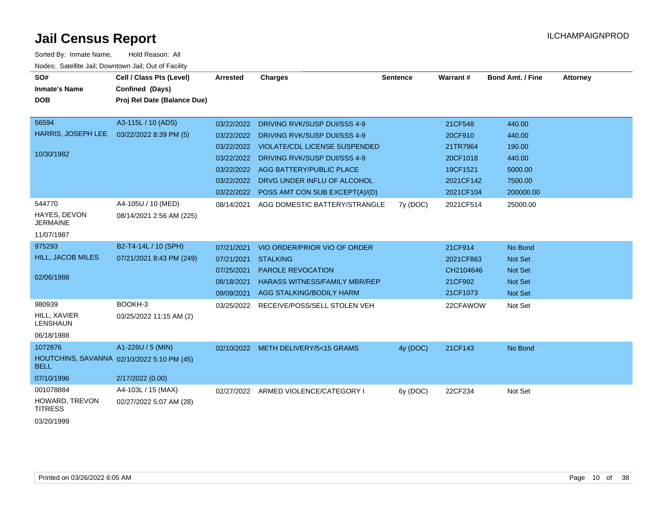| SO#<br><b>Inmate's Name</b><br><b>DOB</b>               | Cell / Class Pts (Level)<br>Confined (Days)<br>Proj Rel Date (Balance Due) | <b>Arrested</b>          | <b>Charges</b>                                                   | <b>Sentence</b> | <b>Warrant#</b>     | <b>Bond Amt. / Fine</b> | <b>Attorney</b> |
|---------------------------------------------------------|----------------------------------------------------------------------------|--------------------------|------------------------------------------------------------------|-----------------|---------------------|-------------------------|-----------------|
| 56594                                                   | A3-115L / 10 (ADS)                                                         | 03/22/2022               | DRIVING RVK/SUSP DUI/SSS 4-9                                     |                 | 21CF548             | 440.00                  |                 |
| HARRIS, JOSEPH LEE                                      | 03/22/2022 8:39 PM (5)                                                     | 03/22/2022               | DRIVING RVK/SUSP DUI/SSS 4-9                                     |                 | 20CF910             | 440.00                  |                 |
|                                                         |                                                                            | 03/22/2022               | <b>VIOLATE/CDL LICENSE SUSPENDED</b>                             |                 | 21TR7964            | 190.00                  |                 |
| 10/30/1982                                              |                                                                            |                          | 03/22/2022 DRIVING RVK/SUSP DUI/SSS 4-9                          |                 | 20CF1018            | 440.00                  |                 |
|                                                         |                                                                            | 03/22/2022               | AGG BATTERY/PUBLIC PLACE                                         |                 | 19CF1521            | 5000.00                 |                 |
|                                                         |                                                                            | 03/22/2022               | DRVG UNDER INFLU OF ALCOHOL                                      |                 | 2021CF142           | 7500.00                 |                 |
|                                                         |                                                                            |                          | 03/22/2022 POSS AMT CON SUB EXCEPT(A)/(D)                        |                 | 2021CF104           | 200000.00               |                 |
| 544770<br>HAYES, DEVON<br><b>JERMAINE</b><br>11/07/1987 | A4-105U / 10 (MED)<br>08/14/2021 2:56 AM (225)                             | 08/14/2021               | AGG DOMESTIC BATTERY/STRANGLE                                    | 7y (DOC)        | 2021CF514           | 25000.00                |                 |
| 975293                                                  |                                                                            |                          |                                                                  |                 |                     |                         |                 |
| HILL, JACOB MILES                                       | B2-T4-14L / 10 (SPH)                                                       | 07/21/2021               | VIO ORDER/PRIOR VIO OF ORDER                                     |                 | 21CF914             | No Bond                 |                 |
|                                                         | 07/21/2021 8:43 PM (249)                                                   | 07/21/2021               | <b>STALKING</b>                                                  |                 | 2021CF863           | Not Set                 |                 |
| 02/06/1988                                              |                                                                            | 07/25/2021<br>08/18/2021 | <b>PAROLE REVOCATION</b><br><b>HARASS WITNESS/FAMILY MBR/REP</b> |                 | CH2104646           | <b>Not Set</b>          |                 |
|                                                         |                                                                            | 09/09/2021               | AGG STALKING/BODILY HARM                                         |                 | 21CF992<br>21CF1073 | Not Set                 |                 |
| 980939                                                  | BOOKH-3                                                                    |                          |                                                                  |                 |                     | Not Set                 |                 |
| HILL, XAVIER<br><b>LENSHAUN</b>                         | 03/25/2022 11:15 AM (2)                                                    |                          | 03/25/2022 RECEIVE/POSS/SELL STOLEN VEH                          |                 | 22CFAWOW            | Not Set                 |                 |
| 06/18/1988                                              |                                                                            |                          |                                                                  |                 |                     |                         |                 |
| 1072876                                                 | A1-226U / 5 (MIN)                                                          |                          | 02/10/2022 METH DELIVERY/5<15 GRAMS                              | 4y (DOC)        | 21CF143             | No Bond                 |                 |
| <b>BELL</b>                                             | HOUTCHINS, SAVANNA 02/10/2022 5:10 PM (45)                                 |                          |                                                                  |                 |                     |                         |                 |
| 07/10/1996                                              | 2/17/2022 (0.00)                                                           |                          |                                                                  |                 |                     |                         |                 |
| 001078884                                               | A4-103L / 15 (MAX)                                                         |                          | 02/27/2022 ARMED VIOLENCE/CATEGORY I                             | 6y (DOC)        | 22CF234             | Not Set                 |                 |
| HOWARD, TREVON<br><b>TITRESS</b>                        | 02/27/2022 5:07 AM (28)                                                    |                          |                                                                  |                 |                     |                         |                 |
| 03/20/1999                                              |                                                                            |                          |                                                                  |                 |                     |                         |                 |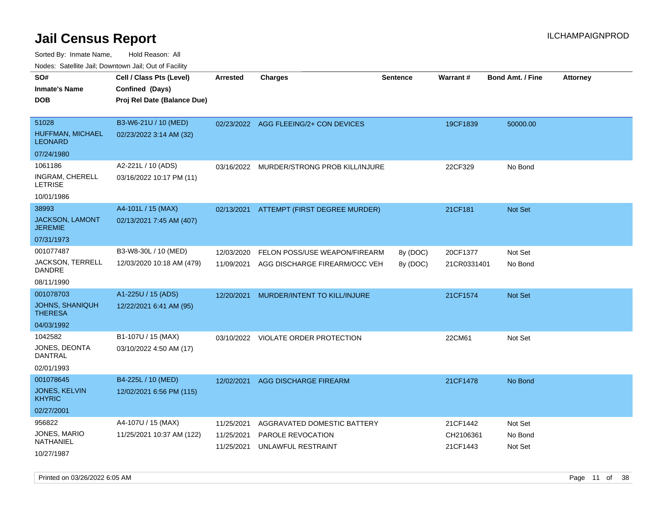Sorted By: Inmate Name, Hold Reason: All Nodes: Satellite Jail; Downtown Jail; Out of Facility

| roaco. Calcinio dan, Downtown dan, Cal or Fability |                             |            |                                          |                 |                 |                         |                 |
|----------------------------------------------------|-----------------------------|------------|------------------------------------------|-----------------|-----------------|-------------------------|-----------------|
| SO#                                                | Cell / Class Pts (Level)    | Arrested   | Charges                                  | <b>Sentence</b> | <b>Warrant#</b> | <b>Bond Amt. / Fine</b> | <b>Attorney</b> |
| Inmate's Name                                      | Confined (Days)             |            |                                          |                 |                 |                         |                 |
| DOB                                                | Proj Rel Date (Balance Due) |            |                                          |                 |                 |                         |                 |
|                                                    |                             |            |                                          |                 |                 |                         |                 |
| 51028                                              | B3-W6-21U / 10 (MED)        |            | 02/23/2022 AGG FLEEING/2+ CON DEVICES    |                 | 19CF1839        | 50000.00                |                 |
| HUFFMAN, MICHAEL<br>LEONARD                        | 02/23/2022 3:14 AM (32)     |            |                                          |                 |                 |                         |                 |
| 07/24/1980                                         |                             |            |                                          |                 |                 |                         |                 |
| 1061186                                            | A2-221L / 10 (ADS)          | 03/16/2022 | MURDER/STRONG PROB KILL/INJURE           |                 | 22CF329         | No Bond                 |                 |
| INGRAM, CHERELL<br>LETRISE                         | 03/16/2022 10:17 PM (11)    |            |                                          |                 |                 |                         |                 |
| 10/01/1986                                         |                             |            |                                          |                 |                 |                         |                 |
| 38993                                              | A4-101L / 15 (MAX)          |            | 02/13/2021 ATTEMPT (FIRST DEGREE MURDER) |                 | 21CF181         | <b>Not Set</b>          |                 |
| <b>JACKSON, LAMONT</b><br>JEREMIE                  | 02/13/2021 7:45 AM (407)    |            |                                          |                 |                 |                         |                 |
| 07/31/1973                                         |                             |            |                                          |                 |                 |                         |                 |
| 001077487                                          | B3-W8-30L / 10 (MED)        | 12/03/2020 | FELON POSS/USE WEAPON/FIREARM            | 8y (DOC)        | 20CF1377        | Not Set                 |                 |
| JACKSON, TERRELL<br>DANDRE                         | 12/03/2020 10:18 AM (479)   | 11/09/2021 | AGG DISCHARGE FIREARM/OCC VEH            | 8y (DOC)        | 21CR0331401     | No Bond                 |                 |
| 08/11/1990                                         |                             |            |                                          |                 |                 |                         |                 |
| 001078703                                          | A1-225U / 15 (ADS)          | 12/20/2021 | MURDER/INTENT TO KILL/INJURE             |                 | 21CF1574        | <b>Not Set</b>          |                 |
| <b>JOHNS, SHANIQUH</b><br>THERESA                  | 12/22/2021 6:41 AM (95)     |            |                                          |                 |                 |                         |                 |
| 04/03/1992                                         |                             |            |                                          |                 |                 |                         |                 |
| 1042582                                            | B1-107U / 15 (MAX)          |            | 03/10/2022 VIOLATE ORDER PROTECTION      |                 | 22CM61          | Not Set                 |                 |
| JONES, DEONTA<br>DANTRAL                           | 03/10/2022 4:50 AM (17)     |            |                                          |                 |                 |                         |                 |
| 02/01/1993                                         |                             |            |                                          |                 |                 |                         |                 |
| 001078645                                          | B4-225L / 10 (MED)          | 12/02/2021 | AGG DISCHARGE FIREARM                    |                 | 21CF1478        | No Bond                 |                 |
| JONES, KELVIN<br><b>KHYRIC</b>                     | 12/02/2021 6:56 PM (115)    |            |                                          |                 |                 |                         |                 |
| 02/27/2001                                         |                             |            |                                          |                 |                 |                         |                 |
| 956822                                             | A4-107U / 15 (MAX)          | 11/25/2021 | AGGRAVATED DOMESTIC BATTERY              |                 | 21CF1442        | Not Set                 |                 |
| JONES, MARIO                                       | 11/25/2021 10:37 AM (122)   | 11/25/2021 | PAROLE REVOCATION                        |                 | CH2106361       | No Bond                 |                 |
| NATHANIEL                                          |                             | 11/25/2021 | UNLAWFUL RESTRAINT                       |                 | 21CF1443        | Not Set                 |                 |
| 10/27/1987                                         |                             |            |                                          |                 |                 |                         |                 |

Printed on 03/26/2022 6:05 AM **Page 11** of 38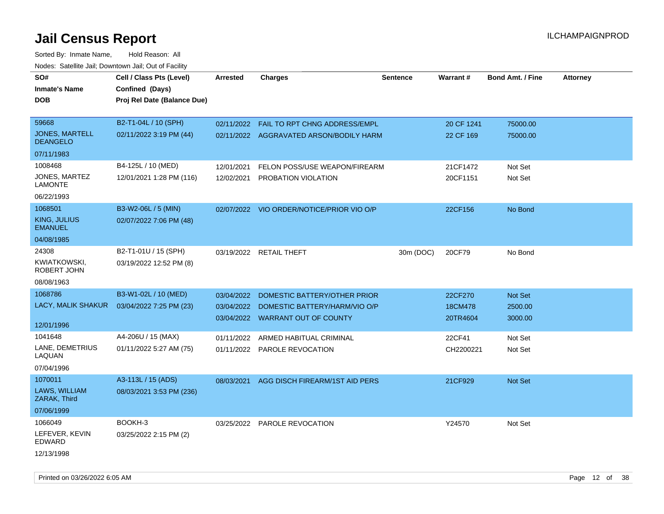Sorted By: Inmate Name, Hold Reason: All Nodes: Satellite Jail; Downtown Jail; Out of Facility

| SO#<br><b>Inmate's Name</b><br><b>DOB</b>               | Cell / Class Pts (Level)<br>Confined (Days)<br>Proj Rel Date (Balance Due) | Arrested                 | <b>Charges</b>                                                                                    | <b>Sentence</b> | Warrant#                       | <b>Bond Amt. / Fine</b>       | <b>Attorney</b> |
|---------------------------------------------------------|----------------------------------------------------------------------------|--------------------------|---------------------------------------------------------------------------------------------------|-----------------|--------------------------------|-------------------------------|-----------------|
| 59668<br><b>JONES, MARTELL</b><br><b>DEANGELO</b>       | B2-T1-04L / 10 (SPH)<br>02/11/2022 3:19 PM (44)                            | 02/11/2022               | FAIL TO RPT CHNG ADDRESS/EMPL<br>02/11/2022 AGGRAVATED ARSON/BODILY HARM                          |                 | 20 CF 1241<br>22 CF 169        | 75000.00<br>75000.00          |                 |
| 07/11/1983                                              |                                                                            |                          |                                                                                                   |                 |                                |                               |                 |
| 1008468<br>JONES, MARTEZ<br>LAMONTE                     | B4-125L / 10 (MED)<br>12/01/2021 1:28 PM (116)                             | 12/01/2021<br>12/02/2021 | FELON POSS/USE WEAPON/FIREARM<br>PROBATION VIOLATION                                              |                 | 21CF1472<br>20CF1151           | Not Set<br>Not Set            |                 |
| 06/22/1993<br>1068501<br>KING, JULIUS<br><b>EMANUEL</b> | B3-W2-06L / 5 (MIN)<br>02/07/2022 7:06 PM (48)                             |                          | 02/07/2022 VIO ORDER/NOTICE/PRIOR VIO O/P                                                         |                 | 22CF156                        | No Bond                       |                 |
| 04/08/1985                                              |                                                                            |                          |                                                                                                   |                 |                                |                               |                 |
| 24308<br>KWIATKOWSKI,<br>ROBERT JOHN                    | B2-T1-01U / 15 (SPH)<br>03/19/2022 12:52 PM (8)                            |                          | 03/19/2022 RETAIL THEFT                                                                           | 30m (DOC)       | 20CF79                         | No Bond                       |                 |
| 08/08/1963                                              |                                                                            |                          |                                                                                                   |                 |                                |                               |                 |
| 1068786<br>LACY, MALIK SHAKUR<br>12/01/1996             | B3-W1-02L / 10 (MED)<br>03/04/2022 7:25 PM (23)                            | 03/04/2022<br>03/04/2022 | DOMESTIC BATTERY/OTHER PRIOR<br>DOMESTIC BATTERY/HARM/VIO O/P<br>03/04/2022 WARRANT OUT OF COUNTY |                 | 22CF270<br>18CM478<br>20TR4604 | Not Set<br>2500.00<br>3000.00 |                 |
| 1041648<br>LANE, DEMETRIUS<br>LAQUAN<br>07/04/1996      | A4-206U / 15 (MAX)<br>01/11/2022 5:27 AM (75)                              | 01/11/2022<br>01/11/2022 | ARMED HABITUAL CRIMINAL<br><b>PAROLE REVOCATION</b>                                               |                 | 22CF41<br>CH2200221            | Not Set<br>Not Set            |                 |
| 1070011<br>LAWS, WILLIAM<br>ZARAK, Third<br>07/06/1999  | A3-113L / 15 (ADS)<br>08/03/2021 3:53 PM (236)                             | 08/03/2021               | AGG DISCH FIREARM/1ST AID PERS                                                                    |                 | 21CF929                        | Not Set                       |                 |
| 1066049<br>LEFEVER, KEVIN<br>EDWARD<br>12/13/1998       | BOOKH-3<br>03/25/2022 2:15 PM (2)                                          |                          | 03/25/2022 PAROLE REVOCATION                                                                      |                 | Y24570                         | Not Set                       |                 |

Printed on 03/26/2022 6:05 AM Page 12 of 38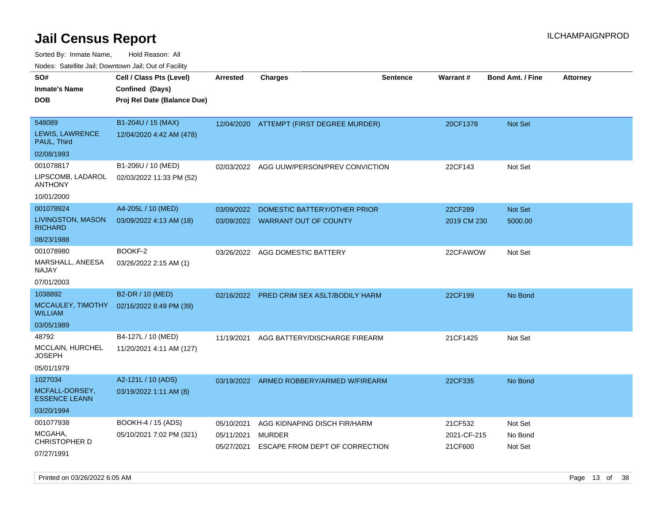Sorted By: Inmate Name, Hold Reason: All

Nodes: Satellite Jail; Downtown Jail; Out of Facility

| SO#<br><b>Inmate's Name</b><br><b>DOB</b>        | Cell / Class Pts (Level)<br>Confined (Days)<br>Proj Rel Date (Balance Due) | Arrested                 | <b>Charges</b>                                  | <b>Sentence</b> | <b>Warrant#</b>        | <b>Bond Amt. / Fine</b> | <b>Attorney</b> |
|--------------------------------------------------|----------------------------------------------------------------------------|--------------------------|-------------------------------------------------|-----------------|------------------------|-------------------------|-----------------|
| 548089<br><b>LEWIS, LAWRENCE</b><br>PAUL, Third  | B1-204U / 15 (MAX)<br>12/04/2020 4:42 AM (478)                             | 12/04/2020               | ATTEMPT (FIRST DEGREE MURDER)                   |                 | 20CF1378               | Not Set                 |                 |
| 02/08/1993                                       |                                                                            |                          |                                                 |                 |                        |                         |                 |
| 001078817<br>LIPSCOMB, LADAROL<br><b>ANTHONY</b> | B1-206U / 10 (MED)<br>02/03/2022 11:33 PM (52)                             | 02/03/2022               | AGG UUW/PERSON/PREV CONVICTION                  |                 | 22CF143                | Not Set                 |                 |
| 10/01/2000                                       |                                                                            |                          |                                                 |                 |                        |                         |                 |
| 001078924                                        | A4-205L / 10 (MED)                                                         | 03/09/2022               | DOMESTIC BATTERY/OTHER PRIOR                    |                 | 22CF289                | Not Set                 |                 |
| <b>LIVINGSTON, MASON</b><br><b>RICHARD</b>       | 03/09/2022 4:13 AM (18)                                                    |                          | 03/09/2022 WARRANT OUT OF COUNTY                |                 | 2019 CM 230            | 5000.00                 |                 |
| 08/23/1988                                       |                                                                            |                          |                                                 |                 |                        |                         |                 |
| 001078980<br>MARSHALL, ANEESA<br>NAJAY           | BOOKF-2<br>03/26/2022 2:15 AM (1)                                          | 03/26/2022               | AGG DOMESTIC BATTERY                            |                 | 22CFAWOW               | Not Set                 |                 |
| 07/01/2003                                       |                                                                            |                          |                                                 |                 |                        |                         |                 |
| 1038892                                          | B2-DR / 10 (MED)                                                           | 02/16/2022               | <b>PRED CRIM SEX ASLT/BODILY HARM</b>           |                 | 22CF199                | No Bond                 |                 |
| MCCAULEY, TIMOTHY<br><b>WILLIAM</b>              | 02/16/2022 8:49 PM (39)                                                    |                          |                                                 |                 |                        |                         |                 |
| 03/05/1989                                       |                                                                            |                          |                                                 |                 |                        |                         |                 |
| 48792                                            | B4-127L / 10 (MED)                                                         | 11/19/2021               | AGG BATTERY/DISCHARGE FIREARM                   |                 | 21CF1425               | Not Set                 |                 |
| MCCLAIN, HURCHEL<br><b>JOSEPH</b>                | 11/20/2021 4:11 AM (127)                                                   |                          |                                                 |                 |                        |                         |                 |
| 05/01/1979                                       |                                                                            |                          |                                                 |                 |                        |                         |                 |
| 1027034                                          | A2-121L / 10 (ADS)                                                         |                          | 03/19/2022 ARMED ROBBERY/ARMED W/FIREARM        |                 | 22CF335                | No Bond                 |                 |
| MCFALL-DORSEY,<br><b>ESSENCE LEANN</b>           | 03/19/2022 1:11 AM (8)                                                     |                          |                                                 |                 |                        |                         |                 |
| 03/20/1994                                       |                                                                            |                          |                                                 |                 |                        |                         |                 |
| 001077938                                        | BOOKH-4 / 15 (ADS)                                                         | 05/10/2021               | AGG KIDNAPING DISCH FIR/HARM                    |                 | 21CF532                | Not Set                 |                 |
| MCGAHA,<br>CHRISTOPHER D                         | 05/10/2021 7:02 PM (321)                                                   | 05/11/2021<br>05/27/2021 | <b>MURDER</b><br>ESCAPE FROM DEPT OF CORRECTION |                 | 2021-CF-215<br>21CF600 | No Bond<br>Not Set      |                 |
| 07/27/1991                                       |                                                                            |                          |                                                 |                 |                        |                         |                 |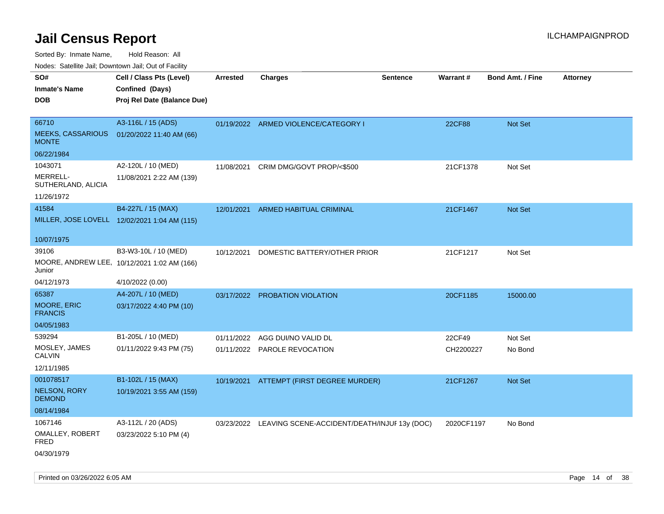Sorted By: Inmate Name, Hold Reason: All

Nodes: Satellite Jail; Downtown Jail; Out of Facility

| SO#<br><b>Inmate's Name</b><br><b>DOB</b>         | Cell / Class Pts (Level)<br>Confined (Days)<br>Proj Rel Date (Balance Due) | Arrested   | <b>Charges</b>                                          | <b>Sentence</b> | Warrant#   | <b>Bond Amt. / Fine</b> | Attorney |
|---------------------------------------------------|----------------------------------------------------------------------------|------------|---------------------------------------------------------|-----------------|------------|-------------------------|----------|
| 66710<br><b>MEEKS, CASSARIOUS</b><br><b>MONTE</b> | A3-116L / 15 (ADS)<br>01/20/2022 11:40 AM (66)                             |            | 01/19/2022 ARMED VIOLENCE/CATEGORY I                    |                 | 22CF88     | Not Set                 |          |
| 06/22/1984                                        |                                                                            |            |                                                         |                 |            |                         |          |
| 1043071<br>MERRELL-<br>SUTHERLAND, ALICIA         | A2-120L / 10 (MED)<br>11/08/2021 2:22 AM (139)                             | 11/08/2021 | CRIM DMG/GOVT PROP/<\$500                               |                 | 21CF1378   | Not Set                 |          |
| 11/26/1972                                        |                                                                            |            |                                                         |                 |            |                         |          |
| 41584                                             | B4-227L / 15 (MAX)<br>MILLER, JOSE LOVELL 12/02/2021 1:04 AM (115)         | 12/01/2021 | ARMED HABITUAL CRIMINAL                                 |                 | 21CF1467   | Not Set                 |          |
| 10/07/1975                                        |                                                                            |            |                                                         |                 |            |                         |          |
| 39106<br>Junior                                   | B3-W3-10L / 10 (MED)<br>MOORE, ANDREW LEE, 10/12/2021 1:02 AM (166)        | 10/12/2021 | DOMESTIC BATTERY/OTHER PRIOR                            |                 | 21CF1217   | Not Set                 |          |
| 04/12/1973                                        | 4/10/2022 (0.00)                                                           |            |                                                         |                 |            |                         |          |
| 65387                                             | A4-207L / 10 (MED)                                                         |            | 03/17/2022 PROBATION VIOLATION                          |                 | 20CF1185   | 15000.00                |          |
| <b>MOORE, ERIC</b><br><b>FRANCIS</b>              | 03/17/2022 4:40 PM (10)                                                    |            |                                                         |                 |            |                         |          |
| 04/05/1983                                        |                                                                            |            |                                                         |                 |            |                         |          |
| 539294                                            | B1-205L / 10 (MED)                                                         | 01/11/2022 | AGG DUI/NO VALID DL                                     |                 | 22CF49     | Not Set                 |          |
| MOSLEY, JAMES<br><b>CALVIN</b>                    | 01/11/2022 9:43 PM (75)                                                    |            | 01/11/2022 PAROLE REVOCATION                            |                 | CH2200227  | No Bond                 |          |
| 12/11/1985                                        |                                                                            |            |                                                         |                 |            |                         |          |
| 001078517<br><b>NELSON, RORY</b><br><b>DEMOND</b> | B1-102L / 15 (MAX)<br>10/19/2021 3:55 AM (159)                             |            | 10/19/2021 ATTEMPT (FIRST DEGREE MURDER)                |                 | 21CF1267   | Not Set                 |          |
| 08/14/1984                                        |                                                                            |            |                                                         |                 |            |                         |          |
| 1067146<br>OMALLEY, ROBERT<br>FRED                | A3-112L / 20 (ADS)<br>03/23/2022 5:10 PM (4)                               |            | 03/23/2022 LEAVING SCENE-ACCIDENT/DEATH/INJUF 13y (DOC) |                 | 2020CF1197 | No Bond                 |          |
| 04/30/1979                                        |                                                                            |            |                                                         |                 |            |                         |          |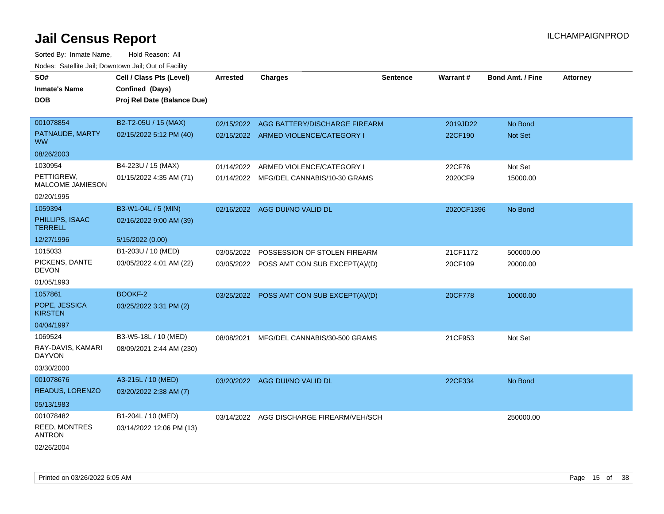| SO#<br><b>Inmate's Name</b><br><b>DOB</b> | Cell / Class Pts (Level)<br>Confined (Days)<br>Proj Rel Date (Balance Due) | Arrested   | <b>Charges</b>                            | <b>Sentence</b> | <b>Warrant#</b> | <b>Bond Amt. / Fine</b> | <b>Attorney</b> |
|-------------------------------------------|----------------------------------------------------------------------------|------------|-------------------------------------------|-----------------|-----------------|-------------------------|-----------------|
| 001078854                                 | B2-T2-05U / 15 (MAX)                                                       | 02/15/2022 | AGG BATTERY/DISCHARGE FIREARM             |                 | 2019JD22        | No Bond                 |                 |
| PATNAUDE, MARTY<br><b>WW</b>              | 02/15/2022 5:12 PM (40)                                                    |            | 02/15/2022 ARMED VIOLENCE/CATEGORY I      |                 | 22CF190         | Not Set                 |                 |
| 08/26/2003                                |                                                                            |            |                                           |                 |                 |                         |                 |
| 1030954                                   | B4-223U / 15 (MAX)                                                         | 01/14/2022 | ARMED VIOLENCE/CATEGORY I                 |                 | 22CF76          | Not Set                 |                 |
| PETTIGREW,<br><b>MALCOME JAMIESON</b>     | 01/15/2022 4:35 AM (71)                                                    |            | 01/14/2022 MFG/DEL CANNABIS/10-30 GRAMS   |                 | 2020CF9         | 15000.00                |                 |
| 02/20/1995                                |                                                                            |            |                                           |                 |                 |                         |                 |
| 1059394                                   | B3-W1-04L / 5 (MIN)                                                        |            | 02/16/2022 AGG DUI/NO VALID DL            |                 | 2020CF1396      | No Bond                 |                 |
| PHILLIPS, ISAAC<br><b>TERRELL</b>         | 02/16/2022 9:00 AM (39)                                                    |            |                                           |                 |                 |                         |                 |
| 12/27/1996                                | 5/15/2022 (0.00)                                                           |            |                                           |                 |                 |                         |                 |
| 1015033                                   | B1-203U / 10 (MED)                                                         |            | 03/05/2022 POSSESSION OF STOLEN FIREARM   |                 | 21CF1172        | 500000.00               |                 |
| PICKENS, DANTE<br><b>DEVON</b>            | 03/05/2022 4:01 AM (22)                                                    |            | 03/05/2022 POSS AMT CON SUB EXCEPT(A)/(D) |                 | 20CF109         | 20000.00                |                 |
| 01/05/1993                                |                                                                            |            |                                           |                 |                 |                         |                 |
| 1057861                                   | BOOKF-2                                                                    |            | 03/25/2022 POSS AMT CON SUB EXCEPT(A)/(D) |                 | 20CF778         | 10000.00                |                 |
| POPE, JESSICA<br><b>KIRSTEN</b>           | 03/25/2022 3:31 PM (2)                                                     |            |                                           |                 |                 |                         |                 |
| 04/04/1997                                |                                                                            |            |                                           |                 |                 |                         |                 |
| 1069524                                   | B3-W5-18L / 10 (MED)                                                       | 08/08/2021 | MFG/DEL CANNABIS/30-500 GRAMS             |                 | 21CF953         | Not Set                 |                 |
| RAY-DAVIS, KAMARI<br><b>DAYVON</b>        | 08/09/2021 2:44 AM (230)                                                   |            |                                           |                 |                 |                         |                 |
| 03/30/2000                                |                                                                            |            |                                           |                 |                 |                         |                 |
| 001078676                                 | A3-215L / 10 (MED)                                                         |            | 03/20/2022 AGG DUI/NO VALID DL            |                 | 22CF334         | No Bond                 |                 |
| <b>READUS, LORENZO</b>                    | 03/20/2022 2:38 AM (7)                                                     |            |                                           |                 |                 |                         |                 |
| 05/13/1983                                |                                                                            |            |                                           |                 |                 |                         |                 |
| 001078482                                 | B1-204L / 10 (MED)                                                         | 03/14/2022 | AGG DISCHARGE FIREARM/VEH/SCH             |                 |                 | 250000.00               |                 |
| REED, MONTRES<br><b>ANTRON</b>            | 03/14/2022 12:06 PM (13)                                                   |            |                                           |                 |                 |                         |                 |
| 02/26/2004                                |                                                                            |            |                                           |                 |                 |                         |                 |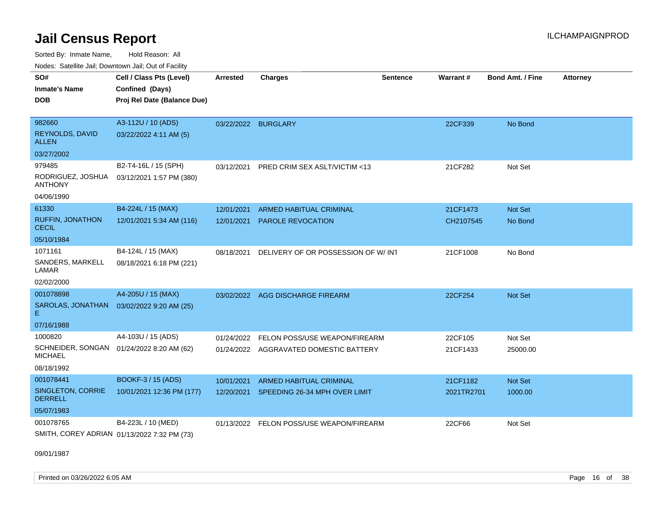Sorted By: Inmate Name, Hold Reason: All Nodes: Satellite Jail; Downtown Jail; Out of Facility

| Noucs. Calcinic Jail, Downtown Jail, Out of Facility        |                             |                     |                                          |                 |            |                         |                 |
|-------------------------------------------------------------|-----------------------------|---------------------|------------------------------------------|-----------------|------------|-------------------------|-----------------|
| SO#                                                         | Cell / Class Pts (Level)    | <b>Arrested</b>     | <b>Charges</b>                           | <b>Sentence</b> | Warrant#   | <b>Bond Amt. / Fine</b> | <b>Attorney</b> |
| <b>Inmate's Name</b>                                        | Confined (Days)             |                     |                                          |                 |            |                         |                 |
| <b>DOB</b>                                                  | Proj Rel Date (Balance Due) |                     |                                          |                 |            |                         |                 |
|                                                             |                             |                     |                                          |                 |            |                         |                 |
| 982660                                                      | A3-112U / 10 (ADS)          | 03/22/2022 BURGLARY |                                          |                 | 22CF339    | No Bond                 |                 |
| <b>REYNOLDS, DAVID</b><br><b>ALLEN</b>                      | 03/22/2022 4:11 AM (5)      |                     |                                          |                 |            |                         |                 |
| 03/27/2002                                                  |                             |                     |                                          |                 |            |                         |                 |
| 979485                                                      | B2-T4-16L / 15 (SPH)        | 03/12/2021          | PRED CRIM SEX ASLT/VICTIM <13            |                 | 21CF282    | Not Set                 |                 |
| RODRIGUEZ, JOSHUA<br><b>ANTHONY</b>                         | 03/12/2021 1:57 PM (380)    |                     |                                          |                 |            |                         |                 |
| 04/06/1990                                                  |                             |                     |                                          |                 |            |                         |                 |
| 61330                                                       | B4-224L / 15 (MAX)          | 12/01/2021          | <b>ARMED HABITUAL CRIMINAL</b>           |                 | 21CF1473   | Not Set                 |                 |
| <b>RUFFIN, JONATHON</b><br><b>CECIL</b>                     | 12/01/2021 5:34 AM (116)    |                     | 12/01/2021 PAROLE REVOCATION             |                 | CH2107545  | No Bond                 |                 |
| 05/10/1984                                                  |                             |                     |                                          |                 |            |                         |                 |
| 1071161                                                     | B4-124L / 15 (MAX)          | 08/18/2021          | DELIVERY OF OR POSSESSION OF W/INT       |                 | 21CF1008   | No Bond                 |                 |
| SANDERS, MARKELL<br>LAMAR                                   | 08/18/2021 6:18 PM (221)    |                     |                                          |                 |            |                         |                 |
| 02/02/2000                                                  |                             |                     |                                          |                 |            |                         |                 |
| 001078898                                                   | A4-205U / 15 (MAX)          |                     | 03/02/2022 AGG DISCHARGE FIREARM         |                 | 22CF254    | Not Set                 |                 |
| SAROLAS, JONATHAN  03/02/2022 9:20 AM (25)<br>Е.            |                             |                     |                                          |                 |            |                         |                 |
| 07/16/1988                                                  |                             |                     |                                          |                 |            |                         |                 |
| 1000820                                                     | A4-103U / 15 (ADS)          |                     | 01/24/2022 FELON POSS/USE WEAPON/FIREARM |                 | 22CF105    | Not Set                 |                 |
| SCHNEIDER, SONGAN 01/24/2022 8:20 AM (62)<br><b>MICHAEL</b> |                             |                     | 01/24/2022 AGGRAVATED DOMESTIC BATTERY   |                 | 21CF1433   | 25000.00                |                 |
| 08/18/1992                                                  |                             |                     |                                          |                 |            |                         |                 |
| 001078441                                                   | BOOKF-3 / 15 (ADS)          | 10/01/2021          | <b>ARMED HABITUAL CRIMINAL</b>           |                 | 21CF1182   | Not Set                 |                 |
| SINGLETON, CORRIE<br><b>DERRELL</b>                         | 10/01/2021 12:36 PM (177)   |                     | 12/20/2021 SPEEDING 26-34 MPH OVER LIMIT |                 | 2021TR2701 | 1000.00                 |                 |
| 05/07/1983                                                  |                             |                     |                                          |                 |            |                         |                 |
| 001078765                                                   | B4-223L / 10 (MED)          |                     | 01/13/2022 FELON POSS/USE WEAPON/FIREARM |                 | 22CF66     | Not Set                 |                 |
| SMITH, COREY ADRIAN 01/13/2022 7:32 PM (73)                 |                             |                     |                                          |                 |            |                         |                 |

09/01/1987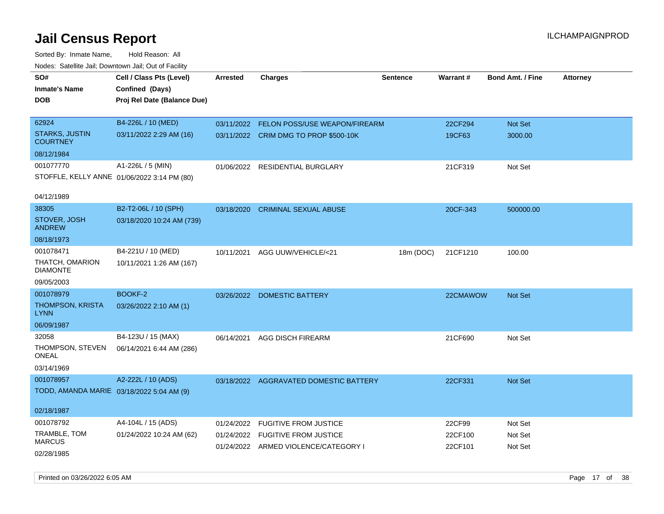| SO#<br><b>Inmate's Name</b><br><b>DOB</b>   | Cell / Class Pts (Level)<br>Confined (Days)<br>Proj Rel Date (Balance Due) | Arrested   | <b>Charges</b>                         | <b>Sentence</b> | Warrant# | <b>Bond Amt. / Fine</b> | <b>Attorney</b> |
|---------------------------------------------|----------------------------------------------------------------------------|------------|----------------------------------------|-----------------|----------|-------------------------|-----------------|
| 62924                                       | B4-226L / 10 (MED)                                                         | 03/11/2022 | FELON POSS/USE WEAPON/FIREARM          |                 | 22CF294  | Not Set                 |                 |
| <b>STARKS, JUSTIN</b><br><b>COURTNEY</b>    | 03/11/2022 2:29 AM (16)                                                    |            | 03/11/2022 CRIM DMG TO PROP \$500-10K  |                 | 19CF63   | 3000.00                 |                 |
| 08/12/1984                                  |                                                                            |            |                                        |                 |          |                         |                 |
| 001077770                                   | A1-226L / 5 (MIN)                                                          | 01/06/2022 | RESIDENTIAL BURGLARY                   |                 | 21CF319  | Not Set                 |                 |
| STOFFLE, KELLY ANNE 01/06/2022 3:14 PM (80) |                                                                            |            |                                        |                 |          |                         |                 |
| 04/12/1989                                  |                                                                            |            |                                        |                 |          |                         |                 |
| 38305                                       | B2-T2-06L / 10 (SPH)                                                       | 03/18/2020 | <b>CRIMINAL SEXUAL ABUSE</b>           |                 | 20CF-343 | 500000.00               |                 |
| STOVER, JOSH<br><b>ANDREW</b>               | 03/18/2020 10:24 AM (739)                                                  |            |                                        |                 |          |                         |                 |
| 08/18/1973                                  |                                                                            |            |                                        |                 |          |                         |                 |
| 001078471                                   | B4-221U / 10 (MED)                                                         | 10/11/2021 | AGG UUW/VEHICLE/<21                    | 18m (DOC)       | 21CF1210 | 100.00                  |                 |
| THATCH, OMARION<br><b>DIAMONTE</b>          | 10/11/2021 1:26 AM (167)                                                   |            |                                        |                 |          |                         |                 |
| 09/05/2003                                  |                                                                            |            |                                        |                 |          |                         |                 |
| 001078979                                   | BOOKF-2                                                                    | 03/26/2022 | <b>DOMESTIC BATTERY</b>                |                 | 22CMAWOW | Not Set                 |                 |
| THOMPSON, KRISTA<br><b>LYNN</b>             | 03/26/2022 2:10 AM (1)                                                     |            |                                        |                 |          |                         |                 |
| 06/09/1987                                  |                                                                            |            |                                        |                 |          |                         |                 |
| 32058                                       | B4-123U / 15 (MAX)                                                         | 06/14/2021 | AGG DISCH FIREARM                      |                 | 21CF690  | Not Set                 |                 |
| THOMPSON, STEVEN<br>ONEAL                   | 06/14/2021 6:44 AM (286)                                                   |            |                                        |                 |          |                         |                 |
| 03/14/1969                                  |                                                                            |            |                                        |                 |          |                         |                 |
| 001078957                                   | A2-222L / 10 (ADS)                                                         |            | 03/18/2022 AGGRAVATED DOMESTIC BATTERY |                 | 22CF331  | Not Set                 |                 |
| TODD, AMANDA MARIE 03/18/2022 5:04 AM (9)   |                                                                            |            |                                        |                 |          |                         |                 |
| 02/18/1987                                  |                                                                            |            |                                        |                 |          |                         |                 |
| 001078792                                   | A4-104L / 15 (ADS)                                                         | 01/24/2022 | <b>FUGITIVE FROM JUSTICE</b>           |                 | 22CF99   | Not Set                 |                 |
| TRAMBLE, TOM                                | 01/24/2022 10:24 AM (62)                                                   |            | 01/24/2022 FUGITIVE FROM JUSTICE       |                 | 22CF100  | Not Set                 |                 |
| <b>MARCUS</b>                               |                                                                            |            | 01/24/2022 ARMED VIOLENCE/CATEGORY I   |                 | 22CF101  | Not Set                 |                 |
| 02/28/1985                                  |                                                                            |            |                                        |                 |          |                         |                 |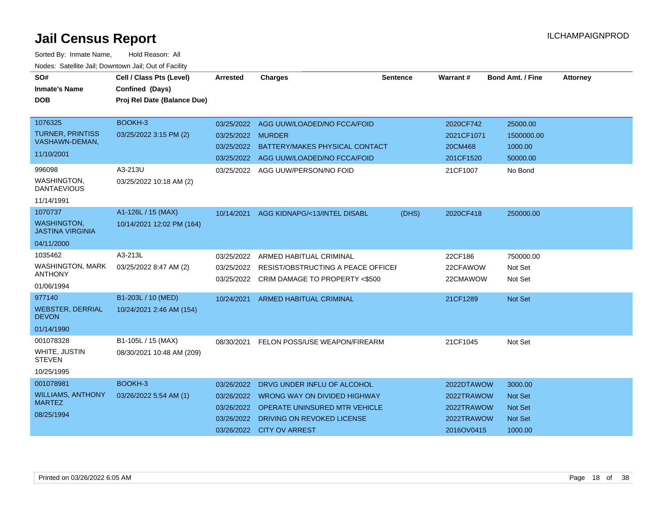| SO#<br><b>Inmate's Name</b><br><b>DOB</b>                                                                         | Cell / Class Pts (Level)<br>Confined (Days)<br>Proj Rel Date (Balance Due) | <b>Arrested</b>                                      | <b>Charges</b>                                                                                                                                                             | <b>Sentence</b> | Warrant#                                                           | <b>Bond Amt. / Fine</b>                                                  | <b>Attorney</b> |
|-------------------------------------------------------------------------------------------------------------------|----------------------------------------------------------------------------|------------------------------------------------------|----------------------------------------------------------------------------------------------------------------------------------------------------------------------------|-----------------|--------------------------------------------------------------------|--------------------------------------------------------------------------|-----------------|
| 1076325<br><b>TURNER, PRINTISS</b><br>VASHAWN-DEMAN,<br>11/10/2001<br>996098<br>WASHINGTON,<br><b>DANTAEVIOUS</b> | BOOKH-3<br>03/25/2022 3:15 PM (2)<br>A3-213U<br>03/25/2022 10:18 AM (2)    | 03/25/2022<br>03/25/2022<br>03/25/2022<br>03/25/2022 | 03/25/2022 AGG UUW/LOADED/NO FCCA/FOID<br><b>MURDER</b><br>BATTERY/MAKES PHYSICAL CONTACT<br>AGG UUW/LOADED/NO FCCA/FOID<br>AGG UUW/PERSON/NO FOID                         |                 | 2020CF742<br>2021CF1071<br>20CM468<br>201CF1520<br>21CF1007        | 25000.00<br>1500000.00<br>1000.00<br>50000.00<br>No Bond                 |                 |
| 11/14/1991<br>1070737<br><b>WASHINGTON.</b><br><b>JASTINA VIRGINIA</b><br>04/11/2000                              | A1-126L / 15 (MAX)<br>10/14/2021 12:02 PM (164)                            | 10/14/2021                                           | AGG KIDNAPG/<13/INTEL DISABL                                                                                                                                               | (DHS)           | 2020CF418                                                          | 250000.00                                                                |                 |
| 1035462<br>WASHINGTON, MARK<br><b>ANTHONY</b><br>01/06/1994                                                       | A3-213L<br>03/25/2022 8:47 AM (2)                                          | 03/25/2022<br>03/25/2022<br>03/25/2022               | ARMED HABITUAL CRIMINAL<br>RESIST/OBSTRUCTING A PEACE OFFICEL<br>CRIM DAMAGE TO PROPERTY <\$500                                                                            |                 | 22CF186<br>22CFAWOW<br>22CMAWOW                                    | 750000.00<br>Not Set<br>Not Set                                          |                 |
| 977140<br><b>WEBSTER, DERRIAL</b><br><b>DEVON</b><br>01/14/1990                                                   | B1-203L / 10 (MED)<br>10/24/2021 2:46 AM (154)                             | 10/24/2021                                           | <b>ARMED HABITUAL CRIMINAL</b>                                                                                                                                             |                 | 21CF1289                                                           | <b>Not Set</b>                                                           |                 |
| 001078328<br>WHITE, JUSTIN<br><b>STEVEN</b><br>10/25/1995                                                         | B1-105L / 15 (MAX)<br>08/30/2021 10:48 AM (209)                            | 08/30/2021                                           | FELON POSS/USE WEAPON/FIREARM                                                                                                                                              |                 | 21CF1045                                                           | Not Set                                                                  |                 |
| 001078981<br><b>WILLIAMS, ANTHONY</b><br><b>MARTEZ</b><br>08/25/1994                                              | BOOKH-3<br>03/26/2022 5:54 AM (1)                                          | 03/26/2022<br>03/26/2022<br>03/26/2022               | DRVG UNDER INFLU OF ALCOHOL<br>03/26/2022  WRONG WAY ON DIVIDED HIGHWAY<br><b>OPERATE UNINSURED MTR VEHICLE</b><br>DRIVING ON REVOKED LICENSE<br>03/26/2022 CITY OV ARREST |                 | 2022DTAWOW<br>2022TRAWOW<br>2022TRAWOW<br>2022TRAWOW<br>2016OV0415 | 3000.00<br><b>Not Set</b><br><b>Not Set</b><br><b>Not Set</b><br>1000.00 |                 |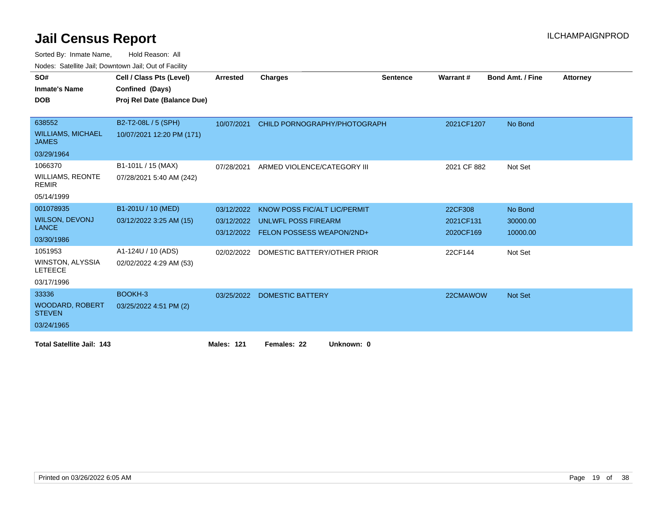| SO#                                       | Cell / Class Pts (Level)    | Arrested          | <b>Charges</b>                          | <b>Sentence</b> | Warrant #   | <b>Bond Amt. / Fine</b> | <b>Attorney</b> |
|-------------------------------------------|-----------------------------|-------------------|-----------------------------------------|-----------------|-------------|-------------------------|-----------------|
| <b>Inmate's Name</b>                      | Confined (Days)             |                   |                                         |                 |             |                         |                 |
| <b>DOB</b>                                | Proj Rel Date (Balance Due) |                   |                                         |                 |             |                         |                 |
|                                           |                             |                   |                                         |                 |             |                         |                 |
| 638552                                    | B2-T2-08L / 5 (SPH)         | 10/07/2021        | CHILD PORNOGRAPHY/PHOTOGRAPH            |                 | 2021CF1207  | No Bond                 |                 |
| <b>WILLIAMS, MICHAEL</b><br><b>JAMES</b>  | 10/07/2021 12:20 PM (171)   |                   |                                         |                 |             |                         |                 |
| 03/29/1964                                |                             |                   |                                         |                 |             |                         |                 |
| 1066370                                   | B1-101L / 15 (MAX)          | 07/28/2021        | ARMED VIOLENCE/CATEGORY III             |                 | 2021 CF 882 | Not Set                 |                 |
| <b>WILLIAMS, REONTE</b><br><b>REMIR</b>   | 07/28/2021 5:40 AM (242)    |                   |                                         |                 |             |                         |                 |
| 05/14/1999                                |                             |                   |                                         |                 |             |                         |                 |
| 001078935                                 | B1-201U / 10 (MED)          | 03/12/2022        | KNOW POSS FIC/ALT LIC/PERMIT            |                 | 22CF308     | No Bond                 |                 |
| <b>WILSON, DEVONJ</b>                     | 03/12/2022 3:25 AM (15)     | 03/12/2022        | UNLWFL POSS FIREARM                     |                 | 2021CF131   | 30000.00                |                 |
| <b>LANCE</b>                              |                             | 03/12/2022        | <b>FELON POSSESS WEAPON/2ND+</b>        |                 | 2020CF169   | 10000.00                |                 |
| 03/30/1986                                |                             |                   |                                         |                 |             |                         |                 |
| 1051953                                   | A1-124U / 10 (ADS)          |                   | 02/02/2022 DOMESTIC BATTERY/OTHER PRIOR |                 | 22CF144     | Not Set                 |                 |
| <b>WINSTON, ALYSSIA</b><br><b>LETEECE</b> | 02/02/2022 4:29 AM (53)     |                   |                                         |                 |             |                         |                 |
| 03/17/1996                                |                             |                   |                                         |                 |             |                         |                 |
| 33336                                     | BOOKH-3                     | 03/25/2022        | <b>DOMESTIC BATTERY</b>                 |                 | 22CMAWOW    | Not Set                 |                 |
| <b>WOODARD, ROBERT</b><br><b>STEVEN</b>   | 03/25/2022 4:51 PM (2)      |                   |                                         |                 |             |                         |                 |
| 03/24/1965                                |                             |                   |                                         |                 |             |                         |                 |
| <b>Total Satellite Jail: 143</b>          |                             | <b>Males: 121</b> | Females: 22<br>Unknown: 0               |                 |             |                         |                 |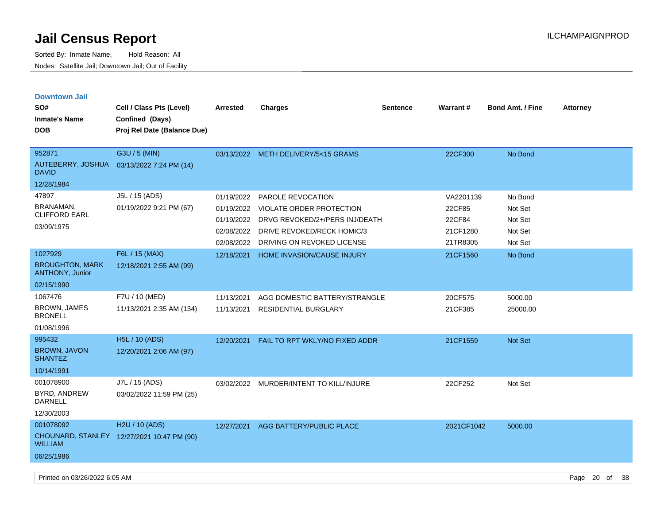| <b>Downtown Jail</b><br>SO#                                               | Cell / Class Pts (Level)                                     | <b>Arrested</b>                                      | <b>Charges</b>                                                                                                                                         | <b>Sentence</b> | <b>Warrant#</b>                                       | <b>Bond Amt. / Fine</b>                             | <b>Attorney</b> |
|---------------------------------------------------------------------------|--------------------------------------------------------------|------------------------------------------------------|--------------------------------------------------------------------------------------------------------------------------------------------------------|-----------------|-------------------------------------------------------|-----------------------------------------------------|-----------------|
| <b>Inmate's Name</b><br><b>DOB</b>                                        | Confined (Days)<br>Proj Rel Date (Balance Due)               |                                                      |                                                                                                                                                        |                 |                                                       |                                                     |                 |
| 952871<br>AUTEBERRY, JOSHUA<br><b>DAVID</b><br>12/28/1984                 | G3U / 5 (MIN)<br>03/13/2022 7:24 PM (14)                     |                                                      | 03/13/2022 METH DELIVERY/5<15 GRAMS                                                                                                                    |                 | 22CF300                                               | No Bond                                             |                 |
| 47897<br>BRANAMAN,<br><b>CLIFFORD EARL</b><br>03/09/1975                  | J5L / 15 (ADS)<br>01/19/2022 9:21 PM (67)                    | 01/19/2022<br>01/19/2022<br>02/08/2022<br>02/08/2022 | PAROLE REVOCATION<br>VIOLATE ORDER PROTECTION<br>01/19/2022 DRVG REVOKED/2+/PERS INJ/DEATH<br>DRIVE REVOKED/RECK HOMIC/3<br>DRIVING ON REVOKED LICENSE |                 | VA2201139<br>22CF85<br>22CF84<br>21CF1280<br>21TR8305 | No Bond<br>Not Set<br>Not Set<br>Not Set<br>Not Set |                 |
| 1027929<br><b>BROUGHTON, MARK</b><br><b>ANTHONY, Junior</b><br>02/15/1990 | F6L / 15 (MAX)<br>12/18/2021 2:55 AM (99)                    | 12/18/2021                                           | HOME INVASION/CAUSE INJURY                                                                                                                             |                 | 21CF1560                                              | No Bond                                             |                 |
| 1067476<br>BROWN, JAMES<br><b>BRONELL</b><br>01/08/1996                   | F7U / 10 (MED)<br>11/13/2021 2:35 AM (134)                   | 11/13/2021<br>11/13/2021                             | AGG DOMESTIC BATTERY/STRANGLE<br><b>RESIDENTIAL BURGLARY</b>                                                                                           |                 | 20CF575<br>21CF385                                    | 5000.00<br>25000.00                                 |                 |
| 995432<br><b>BROWN, JAVON</b><br><b>SHANTEZ</b><br>10/14/1991             | <b>H5L / 10 (ADS)</b><br>12/20/2021 2:06 AM (97)             | 12/20/2021                                           | FAIL TO RPT WKLY/NO FIXED ADDR                                                                                                                         |                 | 21CF1559                                              | Not Set                                             |                 |
| 001078900<br>BYRD, ANDREW<br>DARNELL<br>12/30/2003                        | J7L / 15 (ADS)<br>03/02/2022 11:59 PM (25)                   | 03/02/2022                                           | MURDER/INTENT TO KILL/INJURE                                                                                                                           |                 | 22CF252                                               | Not Set                                             |                 |
| 001078092<br><b>WILLIAM</b><br>06/25/1986                                 | H2U / 10 (ADS)<br>CHOUNARD, STANLEY 12/27/2021 10:47 PM (90) | 12/27/2021                                           | AGG BATTERY/PUBLIC PLACE                                                                                                                               |                 | 2021CF1042                                            | 5000.00                                             |                 |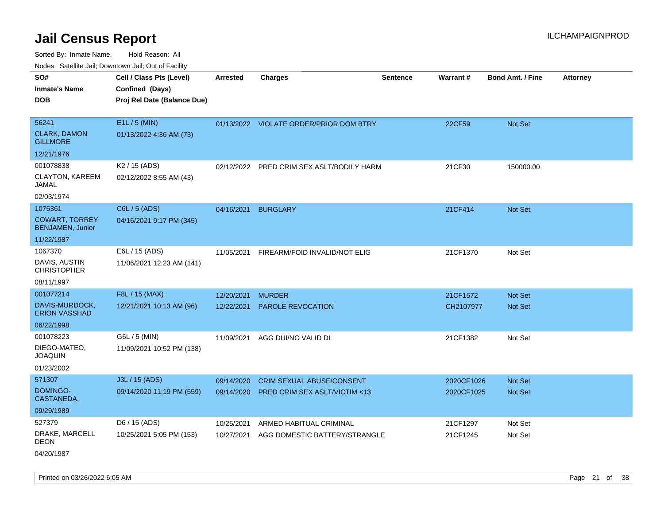Sorted By: Inmate Name, Hold Reason: All Nodes: Satellite Jail; Downtown Jail; Out of Facility

| rougs. Calcing Jan, Downtown Jan, Out of Facinty            |                                                      |                          |                                           |                 |                       |                         |                 |
|-------------------------------------------------------------|------------------------------------------------------|--------------------------|-------------------------------------------|-----------------|-----------------------|-------------------------|-----------------|
| SO#<br><b>Inmate's Name</b>                                 | Cell / Class Pts (Level)<br>Confined (Days)          | Arrested                 | <b>Charges</b>                            | <b>Sentence</b> | Warrant#              | <b>Bond Amt. / Fine</b> | <b>Attorney</b> |
| <b>DOB</b>                                                  | Proj Rel Date (Balance Due)                          |                          |                                           |                 |                       |                         |                 |
| 56241<br><b>CLARK, DAMON</b><br><b>GILLMORE</b>             | E1L / 5 (MIN)<br>01/13/2022 4:36 AM (73)             |                          | 01/13/2022 VIOLATE ORDER/PRIOR DOM BTRY   |                 | 22CF59                | Not Set                 |                 |
| 12/21/1976                                                  |                                                      |                          |                                           |                 |                       |                         |                 |
| 001078838<br>CLAYTON, KAREEM<br>JAMAL                       | K <sub>2</sub> / 15 (ADS)<br>02/12/2022 8:55 AM (43) | 02/12/2022               | PRED CRIM SEX ASLT/BODILY HARM            |                 | 21CF30                | 150000.00               |                 |
| 02/03/1974                                                  |                                                      |                          |                                           |                 |                       |                         |                 |
| 1075361<br><b>COWART, TORREY</b><br><b>BENJAMEN, Junior</b> | C6L / 5 (ADS)<br>04/16/2021 9:17 PM (345)            | 04/16/2021               | <b>BURGLARY</b>                           |                 | 21CF414               | Not Set                 |                 |
| 11/22/1987                                                  |                                                      |                          |                                           |                 |                       |                         |                 |
| 1067370<br>DAVIS, AUSTIN<br><b>CHRISTOPHER</b>              | E6L / 15 (ADS)<br>11/06/2021 12:23 AM (141)          | 11/05/2021               | FIREARM/FOID INVALID/NOT ELIG             |                 | 21CF1370              | Not Set                 |                 |
| 08/11/1997<br>001077214                                     | F8L / 15 (MAX)                                       |                          |                                           |                 |                       |                         |                 |
| DAVIS-MURDOCK,<br><b>ERION VASSHAD</b>                      | 12/21/2021 10:13 AM (96)                             | 12/20/2021<br>12/22/2021 | <b>MURDER</b><br><b>PAROLE REVOCATION</b> |                 | 21CF1572<br>CH2107977 | Not Set<br>Not Set      |                 |
| 06/22/1998                                                  |                                                      |                          |                                           |                 |                       |                         |                 |
| 001078223<br>DIEGO-MATEO,<br><b>JOAQUIN</b><br>01/23/2002   | G6L / 5 (MIN)<br>11/09/2021 10:52 PM (138)           | 11/09/2021               | AGG DUI/NO VALID DL                       |                 | 21CF1382              | Not Set                 |                 |
| 571307                                                      | J3L / 15 (ADS)                                       | 09/14/2020               | CRIM SEXUAL ABUSE/CONSENT                 |                 | 2020CF1026            | Not Set                 |                 |
| DOMINGO-<br>CASTANEDA,                                      | 09/14/2020 11:19 PM (559)                            | 09/14/2020               | <b>PRED CRIM SEX ASLT/VICTIM &lt;13</b>   |                 | 2020CF1025            | Not Set                 |                 |
| 09/29/1989                                                  |                                                      |                          |                                           |                 |                       |                         |                 |
| 527379                                                      | D6 / 15 (ADS)                                        | 10/25/2021               | ARMED HABITUAL CRIMINAL                   |                 | 21CF1297              | Not Set                 |                 |
| DRAKE, MARCELL<br><b>DEON</b><br>04/20/1987                 | 10/25/2021 5:05 PM (153)                             | 10/27/2021               | AGG DOMESTIC BATTERY/STRANGLE             |                 | 21CF1245              | Not Set                 |                 |

Printed on 03/26/2022 6:05 AM Page 21 of 38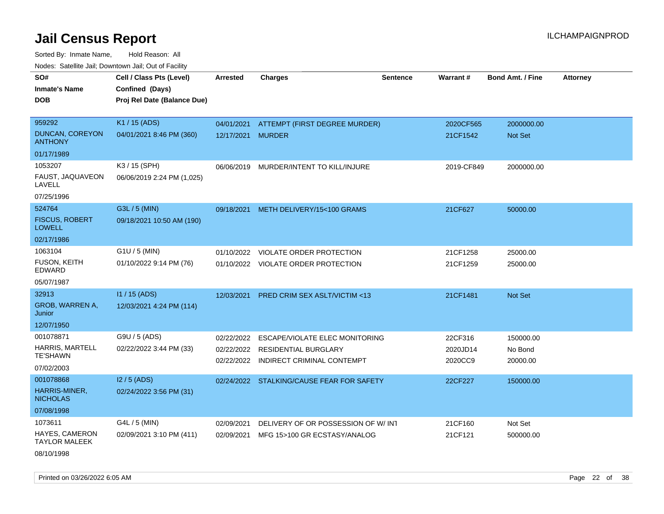Sorted By: Inmate Name, Hold Reason: All Nodes: Satellite Jail; Downtown Jail; Out of Facility

| SO#                                      | Cell / Class Pts (Level)    | Arrested   | <b>Charges</b>                            | <b>Sentence</b> | <b>Warrant#</b> | <b>Bond Amt. / Fine</b> | <b>Attorney</b> |
|------------------------------------------|-----------------------------|------------|-------------------------------------------|-----------------|-----------------|-------------------------|-----------------|
| <b>Inmate's Name</b>                     | Confined (Days)             |            |                                           |                 |                 |                         |                 |
| <b>DOB</b>                               | Proj Rel Date (Balance Due) |            |                                           |                 |                 |                         |                 |
|                                          |                             |            |                                           |                 |                 |                         |                 |
| 959292                                   | K1 / 15 (ADS)               | 04/01/2021 | ATTEMPT (FIRST DEGREE MURDER)             |                 | 2020CF565       | 2000000.00              |                 |
| <b>DUNCAN, COREYON</b><br><b>ANTHONY</b> | 04/01/2021 8:46 PM (360)    | 12/17/2021 | <b>MURDER</b>                             |                 | 21CF1542        | <b>Not Set</b>          |                 |
| 01/17/1989                               |                             |            |                                           |                 |                 |                         |                 |
| 1053207                                  | K3 / 15 (SPH)               |            | 06/06/2019 MURDER/INTENT TO KILL/INJURE   |                 | 2019-CF849      | 2000000.00              |                 |
| FAUST, JAQUAVEON<br>LAVELL               | 06/06/2019 2:24 PM (1,025)  |            |                                           |                 |                 |                         |                 |
| 07/25/1996                               |                             |            |                                           |                 |                 |                         |                 |
| 524764                                   | G3L / 5 (MIN)               | 09/18/2021 | METH DELIVERY/15<100 GRAMS                |                 | 21CF627         | 50000.00                |                 |
| <b>FISCUS, ROBERT</b><br><b>LOWELL</b>   | 09/18/2021 10:50 AM (190)   |            |                                           |                 |                 |                         |                 |
| 02/17/1986                               |                             |            |                                           |                 |                 |                         |                 |
| 1063104                                  | G1U / 5 (MIN)               | 01/10/2022 | <b>VIOLATE ORDER PROTECTION</b>           |                 | 21CF1258        | 25000.00                |                 |
| <b>FUSON, KEITH</b><br><b>EDWARD</b>     | 01/10/2022 9:14 PM (76)     |            | 01/10/2022 VIOLATE ORDER PROTECTION       |                 | 21CF1259        | 25000.00                |                 |
| 05/07/1987                               |                             |            |                                           |                 |                 |                         |                 |
| 32913                                    | $11/15$ (ADS)               | 12/03/2021 | <b>PRED CRIM SEX ASLT/VICTIM &lt;13</b>   |                 | 21CF1481        | <b>Not Set</b>          |                 |
| GROB, WARREN A,<br>Junior                | 12/03/2021 4:24 PM (114)    |            |                                           |                 |                 |                         |                 |
| 12/07/1950                               |                             |            |                                           |                 |                 |                         |                 |
| 001078871                                | G9U / 5 (ADS)               | 02/22/2022 | <b>ESCAPE/VIOLATE ELEC MONITORING</b>     |                 | 22CF316         | 150000.00               |                 |
| <b>HARRIS, MARTELL</b>                   | 02/22/2022 3:44 PM (33)     | 02/22/2022 | RESIDENTIAL BURGLARY                      |                 | 2020JD14        | No Bond                 |                 |
| <b>TE'SHAWN</b>                          |                             | 02/22/2022 | INDIRECT CRIMINAL CONTEMPT                |                 | 2020CC9         | 20000.00                |                 |
| 07/02/2003                               |                             |            |                                           |                 |                 |                         |                 |
| 001078868                                | $12/5$ (ADS)                |            | 02/24/2022 STALKING/CAUSE FEAR FOR SAFETY |                 | 22CF227         | 150000.00               |                 |
| HARRIS-MINER,<br><b>NICHOLAS</b>         | 02/24/2022 3:56 PM (31)     |            |                                           |                 |                 |                         |                 |
| 07/08/1998                               |                             |            |                                           |                 |                 |                         |                 |
| 1073611                                  | G4L / 5 (MIN)               | 02/09/2021 | DELIVERY OF OR POSSESSION OF W/IN1        |                 | 21CF160         | Not Set                 |                 |
| HAYES, CAMERON<br><b>TAYLOR MALEEK</b>   | 02/09/2021 3:10 PM (411)    | 02/09/2021 | MFG 15>100 GR ECSTASY/ANALOG              |                 | 21CF121         | 500000.00               |                 |

08/10/1998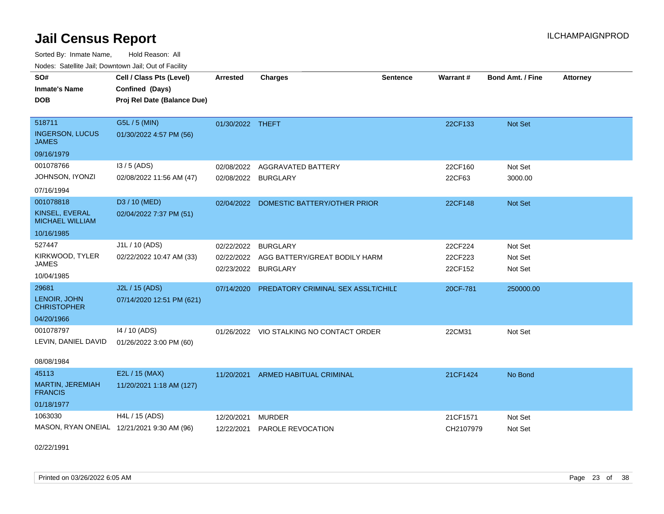Sorted By: Inmate Name, Hold Reason: All

|  | Nodes: Satellite Jail; Downtown Jail; Out of Facility |  |  |  |
|--|-------------------------------------------------------|--|--|--|
|--|-------------------------------------------------------|--|--|--|

| SO#<br><b>Inmate's Name</b><br><b>DOB</b>                           | Cell / Class Pts (Level)<br>Confined (Days)<br>Proj Rel Date (Balance Due) | <b>Arrested</b>          | <b>Charges</b>                                                                 | <b>Sentence</b> | Warrant#                      | <b>Bond Amt. / Fine</b>       | <b>Attorney</b> |
|---------------------------------------------------------------------|----------------------------------------------------------------------------|--------------------------|--------------------------------------------------------------------------------|-----------------|-------------------------------|-------------------------------|-----------------|
| 518711<br><b>INGERSON, LUCUS</b><br><b>JAMES</b>                    | G5L / 5 (MIN)<br>01/30/2022 4:57 PM (56)                                   | 01/30/2022 THEFT         |                                                                                |                 | 22CF133                       | Not Set                       |                 |
| 09/16/1979                                                          |                                                                            |                          |                                                                                |                 |                               |                               |                 |
| 001078766<br>JOHNSON, IYONZI<br>07/16/1994                          | $13/5$ (ADS)<br>02/08/2022 11:56 AM (47)                                   | 02/08/2022               | AGGRAVATED BATTERY<br>02/08/2022 BURGLARY                                      |                 | 22CF160<br>22CF63             | Not Set<br>3000.00            |                 |
| 001078818<br>KINSEL, EVERAL<br><b>MICHAEL WILLIAM</b><br>10/16/1985 | D3 / 10 (MED)<br>02/04/2022 7:37 PM (51)                                   | 02/04/2022               | DOMESTIC BATTERY/OTHER PRIOR                                                   |                 | 22CF148                       | <b>Not Set</b>                |                 |
| 527447<br>KIRKWOOD, TYLER<br><b>JAMES</b><br>10/04/1985             | J1L / 10 (ADS)<br>02/22/2022 10:47 AM (33)                                 | 02/22/2022<br>02/23/2022 | <b>BURGLARY</b><br>02/22/2022 AGG BATTERY/GREAT BODILY HARM<br><b>BURGLARY</b> |                 | 22CF224<br>22CF223<br>22CF152 | Not Set<br>Not Set<br>Not Set |                 |
| 29681<br>LENOIR, JOHN<br><b>CHRISTOPHER</b><br>04/20/1966           | J2L / 15 (ADS)<br>07/14/2020 12:51 PM (621)                                | 07/14/2020               | PREDATORY CRIMINAL SEX ASSLT/CHILE                                             |                 | 20CF-781                      | 250000.00                     |                 |
| 001078797<br>LEVIN, DANIEL DAVID<br>08/08/1984                      | 14 / 10 (ADS)<br>01/26/2022 3:00 PM (60)                                   | 01/26/2022               | VIO STALKING NO CONTACT ORDER                                                  |                 | 22CM31                        | Not Set                       |                 |
| 45113<br>MARTIN, JEREMIAH<br><b>FRANCIS</b><br>01/18/1977           | E2L / 15 (MAX)<br>11/20/2021 1:18 AM (127)                                 | 11/20/2021               | ARMED HABITUAL CRIMINAL                                                        |                 | 21CF1424                      | No Bond                       |                 |
| 1063030                                                             | H4L / 15 (ADS)<br>MASON, RYAN ONEIAL 12/21/2021 9:30 AM (96)               | 12/20/2021<br>12/22/2021 | <b>MURDER</b><br>PAROLE REVOCATION                                             |                 | 21CF1571<br>CH2107979         | Not Set<br>Not Set            |                 |

02/22/1991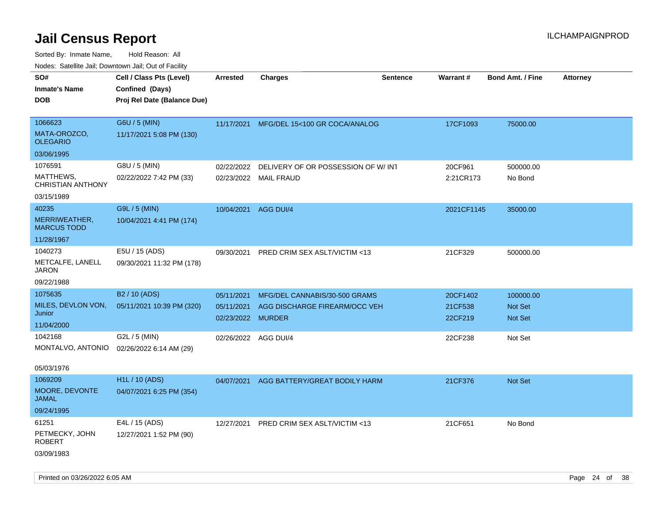| 10000. Catolino can, Domntonn can, Oat or I domt        |                                                                            |                                               |                                                                |                 |                                |                                               |                 |
|---------------------------------------------------------|----------------------------------------------------------------------------|-----------------------------------------------|----------------------------------------------------------------|-----------------|--------------------------------|-----------------------------------------------|-----------------|
| SO#<br>Inmate's Name<br><b>DOB</b>                      | Cell / Class Pts (Level)<br>Confined (Days)<br>Proj Rel Date (Balance Due) | <b>Arrested</b>                               | <b>Charges</b>                                                 | <b>Sentence</b> | Warrant#                       | <b>Bond Amt. / Fine</b>                       | <b>Attorney</b> |
| 1066623<br>MATA-OROZCO,<br>OLEGARIO<br>03/06/1995       | G6U / 5 (MIN)<br>11/17/2021 5:08 PM (130)                                  |                                               | 11/17/2021 MFG/DEL 15<100 GR COCA/ANALOG                       |                 | 17CF1093                       | 75000.00                                      |                 |
| 1076591                                                 | G8U / 5 (MIN)                                                              |                                               |                                                                |                 |                                |                                               |                 |
| MATTHEWS,<br>CHRISTIAN ANTHONY                          | 02/22/2022 7:42 PM (33)                                                    | 02/22/2022                                    | DELIVERY OF OR POSSESSION OF W/INT<br>02/23/2022 MAIL FRAUD    |                 | 20CF961<br>2:21CR173           | 500000.00<br>No Bond                          |                 |
| 03/15/1989                                              |                                                                            |                                               |                                                                |                 |                                |                                               |                 |
| 40235<br>MERRIWEATHER,<br>MARCUS TODD                   | G9L / 5 (MIN)<br>10/04/2021 4:41 PM (174)                                  | 10/04/2021 AGG DUI/4                          |                                                                |                 | 2021CF1145                     | 35000.00                                      |                 |
| 11/28/1967                                              |                                                                            |                                               |                                                                |                 |                                |                                               |                 |
| 1040273<br>METCALFE, LANELL<br>JARON                    | E5U / 15 (ADS)<br>09/30/2021 11:32 PM (178)                                | 09/30/2021                                    | PRED CRIM SEX ASLT/VICTIM <13                                  |                 | 21CF329                        | 500000.00                                     |                 |
| 09/22/1988                                              |                                                                            |                                               |                                                                |                 |                                |                                               |                 |
| 1075635<br>MILES, DEVLON VON,<br>Junior<br>11/04/2000   | B <sub>2</sub> / 10 (ADS)<br>05/11/2021 10:39 PM (320)                     | 05/11/2021<br>05/11/2021<br>02/23/2022 MURDER | MFG/DEL CANNABIS/30-500 GRAMS<br>AGG DISCHARGE FIREARM/OCC VEH |                 | 20CF1402<br>21CF538<br>22CF219 | 100000.00<br><b>Not Set</b><br><b>Not Set</b> |                 |
| 1042168<br>MONTALVO, ANTONIO<br>05/03/1976              | G2L / 5 (MIN)<br>02/26/2022 6:14 AM (29)                                   | 02/26/2022 AGG DUI/4                          |                                                                |                 | 22CF238                        | Not Set                                       |                 |
| 1069209<br><b>MOORE, DEVONTE</b><br>JAMAL<br>09/24/1995 | H1L / 10 (ADS)<br>04/07/2021 6:25 PM (354)                                 | 04/07/2021                                    | AGG BATTERY/GREAT BODILY HARM                                  |                 | 21CF376                        | <b>Not Set</b>                                |                 |
| 61251<br>PETMECKY, JOHN<br>ROBERT<br>03/09/1983         | E4L / 15 (ADS)<br>12/27/2021 1:52 PM (90)                                  | 12/27/2021                                    | PRED CRIM SEX ASLT/VICTIM <13                                  |                 | 21CF651                        | No Bond                                       |                 |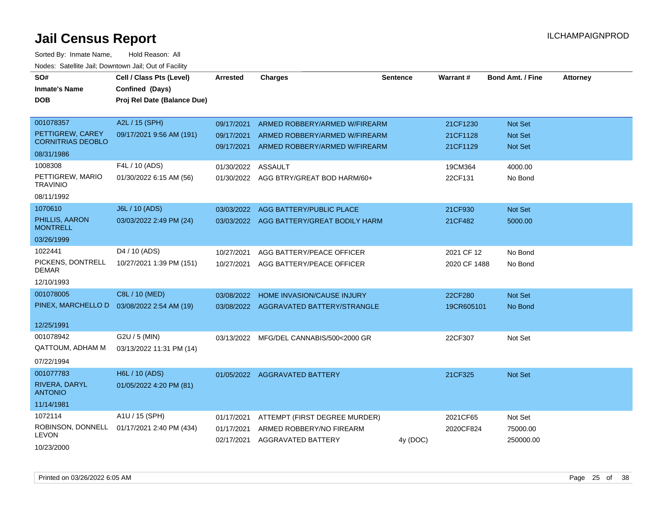| SO#<br><b>Inmate's Name</b><br><b>DOB</b>       | Cell / Class Pts (Level)<br>Confined (Days)<br>Proj Rel Date (Balance Due) | <b>Arrested</b>    | <b>Charges</b>                                            | <b>Sentence</b> | <b>Warrant#</b> | <b>Bond Amt. / Fine</b> | <b>Attorney</b> |
|-------------------------------------------------|----------------------------------------------------------------------------|--------------------|-----------------------------------------------------------|-----------------|-----------------|-------------------------|-----------------|
| 001078357                                       | A2L / 15 (SPH)                                                             | 09/17/2021         | ARMED ROBBERY/ARMED W/FIREARM                             |                 | 21CF1230        | Not Set                 |                 |
| PETTIGREW, CAREY<br><b>CORNITRIAS DEOBLO</b>    | 09/17/2021 9:56 AM (191)                                                   | 09/17/2021         | ARMED ROBBERY/ARMED W/FIREARM                             |                 | 21CF1128        | <b>Not Set</b>          |                 |
| 08/31/1986                                      |                                                                            | 09/17/2021         | ARMED ROBBERY/ARMED W/FIREARM                             |                 | 21CF1129        | Not Set                 |                 |
| 1008308                                         | F4L / 10 (ADS)                                                             | 01/30/2022 ASSAULT |                                                           |                 | 19CM364         | 4000.00                 |                 |
| PETTIGREW, MARIO<br><b>TRAVINIO</b>             | 01/30/2022 6:15 AM (56)                                                    |                    | 01/30/2022 AGG BTRY/GREAT BOD HARM/60+                    |                 | 22CF131         | No Bond                 |                 |
| 08/11/1992                                      |                                                                            |                    |                                                           |                 |                 |                         |                 |
| 1070610                                         | J6L / 10 (ADS)                                                             | 03/03/2022         | AGG BATTERY/PUBLIC PLACE                                  |                 | 21CF930         | <b>Not Set</b>          |                 |
| PHILLIS, AARON<br><b>MONTRELL</b>               | 03/03/2022 2:49 PM (24)                                                    |                    | 03/03/2022 AGG BATTERY/GREAT BODILY HARM                  |                 | 21CF482         | 5000.00                 |                 |
| 03/26/1999                                      |                                                                            |                    |                                                           |                 |                 |                         |                 |
| 1022441                                         | D4 / 10 (ADS)                                                              | 10/27/2021         | AGG BATTERY/PEACE OFFICER                                 |                 | 2021 CF 12      | No Bond                 |                 |
| PICKENS, DONTRELL<br><b>DEMAR</b>               | 10/27/2021 1:39 PM (151)                                                   | 10/27/2021         | AGG BATTERY/PEACE OFFICER                                 |                 | 2020 CF 1488    | No Bond                 |                 |
| 12/10/1993                                      |                                                                            |                    |                                                           |                 |                 |                         |                 |
| 001078005                                       | C8L / 10 (MED)                                                             | 03/08/2022         | HOME INVASION/CAUSE INJURY                                |                 | 22CF280         | Not Set                 |                 |
| PINEX, MARCHELLO D                              | 03/08/2022 2:54 AM (19)                                                    |                    | 03/08/2022 AGGRAVATED BATTERY/STRANGLE                    |                 | 19CR605101      | No Bond                 |                 |
| 12/25/1991                                      |                                                                            |                    |                                                           |                 |                 |                         |                 |
| 001078942<br>QATTOUM, ADHAM M                   | G2U / 5 (MIN)<br>03/13/2022 11:31 PM (14)                                  | 03/13/2022         | MFG/DEL CANNABIS/500<2000 GR                              |                 | 22CF307         | Not Set                 |                 |
| 07/22/1994                                      |                                                                            |                    |                                                           |                 |                 |                         |                 |
| 001077783<br>RIVERA, DARYL<br><b>ANTONIO</b>    | H6L / 10 (ADS)<br>01/05/2022 4:20 PM (81)                                  |                    | 01/05/2022 AGGRAVATED BATTERY                             |                 | 21CF325         | Not Set                 |                 |
| 11/14/1981                                      |                                                                            |                    |                                                           |                 |                 |                         |                 |
| 1072114                                         | A1U / 15 (SPH)                                                             | 01/17/2021         | ATTEMPT (FIRST DEGREE MURDER)                             |                 | 2021CF65        | Not Set                 |                 |
| ROBINSON, DONNELL<br><b>LEVON</b><br>10/23/2000 | 01/17/2021 2:40 PM (434)                                                   | 01/17/2021         | ARMED ROBBERY/NO FIREARM<br>02/17/2021 AGGRAVATED BATTERY | 4y (DOC)        | 2020CF824       | 75000.00<br>250000.00   |                 |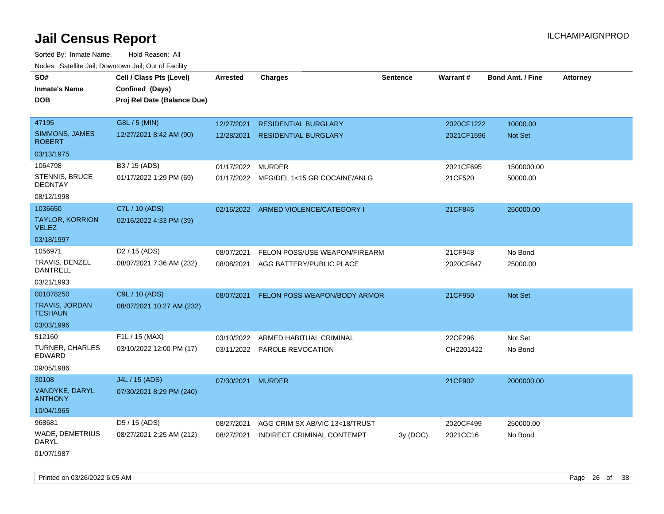Sorted By: Inmate Name, Hold Reason: All Nodes: Satellite Jail; Downtown Jail; Out of Facility

| roaco. Catolino cali, Domntonn cali, Out of Facility |                                                                            |                   |                                      |          |            |                         |                 |
|------------------------------------------------------|----------------------------------------------------------------------------|-------------------|--------------------------------------|----------|------------|-------------------------|-----------------|
| SO#<br><b>Inmate's Name</b><br><b>DOB</b>            | Cell / Class Pts (Level)<br>Confined (Days)<br>Proj Rel Date (Balance Due) | <b>Arrested</b>   | <b>Charges</b>                       | Sentence | Warrant#   | <b>Bond Amt. / Fine</b> | <b>Attorney</b> |
| 47195                                                | G8L / 5 (MIN)                                                              | 12/27/2021        | <b>RESIDENTIAL BURGLARY</b>          |          | 2020CF1222 | 10000.00                |                 |
| <b>SIMMONS, JAMES</b><br><b>ROBERT</b>               | 12/27/2021 8:42 AM (90)                                                    | 12/28/2021        | <b>RESIDENTIAL BURGLARY</b>          |          | 2021CF1596 | Not Set                 |                 |
| 03/13/1975                                           |                                                                            |                   |                                      |          |            |                         |                 |
| 1064798                                              | B3 / 15 (ADS)                                                              | 01/17/2022 MURDER |                                      |          | 2021CF695  | 1500000.00              |                 |
| STENNIS, BRUCE<br><b>DEONTAY</b>                     | 01/17/2022 1:29 PM (69)                                                    | 01/17/2022        | MFG/DEL 1<15 GR COCAINE/ANLG         |          | 21CF520    | 50000.00                |                 |
| 08/12/1998                                           |                                                                            |                   |                                      |          |            |                         |                 |
| 1036650                                              | C7L / 10 (ADS)                                                             |                   | 02/16/2022 ARMED VIOLENCE/CATEGORY I |          | 21CF845    | 250000.00               |                 |
| <b>TAYLOR, KORRION</b><br><b>VELEZ</b>               | 02/16/2022 4:33 PM (39)                                                    |                   |                                      |          |            |                         |                 |
| 03/18/1997                                           |                                                                            |                   |                                      |          |            |                         |                 |
| 1056971                                              | D <sub>2</sub> / 15 (ADS)                                                  | 08/07/2021        | FELON POSS/USE WEAPON/FIREARM        |          | 21CF948    | No Bond                 |                 |
| TRAVIS, DENZEL<br>DANTRELL                           | 08/07/2021 7:36 AM (232)                                                   |                   | 08/08/2021 AGG BATTERY/PUBLIC PLACE  |          | 2020CF647  | 25000.00                |                 |
| 03/21/1993                                           |                                                                            |                   |                                      |          |            |                         |                 |
| 001078250                                            | C9L / 10 (ADS)                                                             | 08/07/2021        | FELON POSS WEAPON/BODY ARMOR         |          | 21CF950    | Not Set                 |                 |
| <b>TRAVIS, JORDAN</b><br><b>TESHAUN</b>              | 08/07/2021 10:27 AM (232)                                                  |                   |                                      |          |            |                         |                 |
| 03/03/1996                                           |                                                                            |                   |                                      |          |            |                         |                 |
| 512160                                               | F1L / 15 (MAX)                                                             |                   | 03/10/2022 ARMED HABITUAL CRIMINAL   |          | 22CF296    | Not Set                 |                 |
| <b>TURNER, CHARLES</b><br>EDWARD                     | 03/10/2022 12:00 PM (17)                                                   |                   | 03/11/2022 PAROLE REVOCATION         |          | CH2201422  | No Bond                 |                 |
| 09/05/1986                                           |                                                                            |                   |                                      |          |            |                         |                 |
| 30108                                                | J4L / 15 (ADS)                                                             | 07/30/2021 MURDER |                                      |          | 21CF902    | 2000000.00              |                 |
| VANDYKE, DARYL<br><b>ANTHONY</b>                     | 07/30/2021 8:29 PM (240)                                                   |                   |                                      |          |            |                         |                 |
| 10/04/1965                                           |                                                                            |                   |                                      |          |            |                         |                 |
| 968681                                               | D5 / 15 (ADS)                                                              | 08/27/2021        | AGG CRIM SX AB/VIC 13<18/TRUST       |          | 2020CF499  | 250000.00               |                 |
| WADE, DEMETRIUS<br>DARYL                             | 08/27/2021 2:25 AM (212)                                                   | 08/27/2021        | INDIRECT CRIMINAL CONTEMPT           | 3y (DOC) | 2021CC16   | No Bond                 |                 |
|                                                      |                                                                            |                   |                                      |          |            |                         |                 |

01/07/1987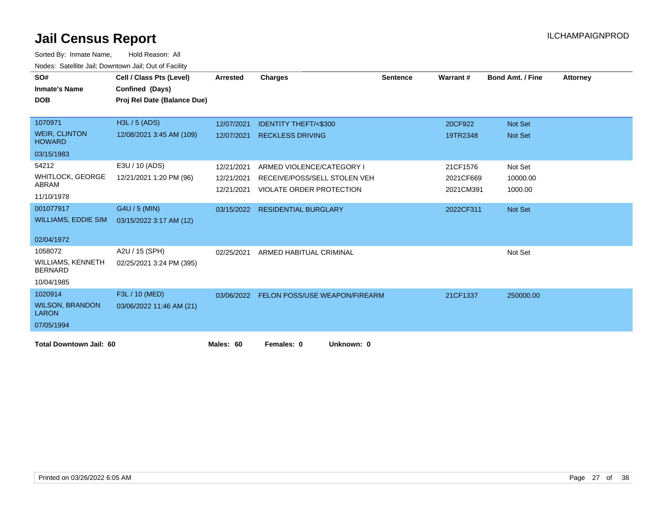| SO#                                        | Cell / Class Pts (Level)    | <b>Arrested</b> | <b>Charges</b>                  | <b>Sentence</b> | Warrant#  | <b>Bond Amt. / Fine</b> | <b>Attorney</b> |
|--------------------------------------------|-----------------------------|-----------------|---------------------------------|-----------------|-----------|-------------------------|-----------------|
| <b>Inmate's Name</b>                       | Confined (Days)             |                 |                                 |                 |           |                         |                 |
| <b>DOB</b>                                 | Proj Rel Date (Balance Due) |                 |                                 |                 |           |                         |                 |
|                                            |                             |                 |                                 |                 |           |                         |                 |
| 1070971                                    | H3L / 5 (ADS)               | 12/07/2021      | <b>IDENTITY THEFT/&lt;\$300</b> |                 | 20CF922   | Not Set                 |                 |
| <b>WEIR, CLINTON</b><br><b>HOWARD</b>      | 12/08/2021 3:45 AM (109)    | 12/07/2021      | <b>RECKLESS DRIVING</b>         |                 | 19TR2348  | Not Set                 |                 |
| 03/15/1983                                 |                             |                 |                                 |                 |           |                         |                 |
| 54212                                      | E3U / 10 (ADS)              | 12/21/2021      | ARMED VIOLENCE/CATEGORY I       |                 | 21CF1576  | Not Set                 |                 |
| <b>WHITLOCK, GEORGE</b>                    | 12/21/2021 1:20 PM (96)     | 12/21/2021      | RECEIVE/POSS/SELL STOLEN VEH    |                 | 2021CF669 | 10000.00                |                 |
| ABRAM                                      |                             | 12/21/2021      | <b>VIOLATE ORDER PROTECTION</b> |                 | 2021CM391 | 1000.00                 |                 |
| 11/10/1978                                 |                             |                 |                                 |                 |           |                         |                 |
| 001077917                                  | G4U / 5 (MIN)               | 03/15/2022      | <b>RESIDENTIAL BURGLARY</b>     |                 | 2022CF311 | Not Set                 |                 |
| <b>WILLIAMS, EDDIE SIM</b>                 | 03/15/2022 3:17 AM (12)     |                 |                                 |                 |           |                         |                 |
| 02/04/1972                                 |                             |                 |                                 |                 |           |                         |                 |
| 1058072                                    | A2U / 15 (SPH)              | 02/25/2021      | ARMED HABITUAL CRIMINAL         |                 |           | Not Set                 |                 |
| <b>WILLIAMS, KENNETH</b><br><b>BERNARD</b> | 02/25/2021 3:24 PM (395)    |                 |                                 |                 |           |                         |                 |
| 10/04/1985                                 |                             |                 |                                 |                 |           |                         |                 |
| 1020914                                    | F3L / 10 (MED)              | 03/06/2022      | FELON POSS/USE WEAPON/FIREARM   |                 | 21CF1337  | 250000.00               |                 |
| <b>WILSON, BRANDON</b><br><b>LARON</b>     | 03/06/2022 11:46 AM (21)    |                 |                                 |                 |           |                         |                 |
| 07/05/1994                                 |                             |                 |                                 |                 |           |                         |                 |
| <b>Total Downtown Jail: 60</b>             |                             | Males: 60       | Females: 0<br>Unknown: 0        |                 |           |                         |                 |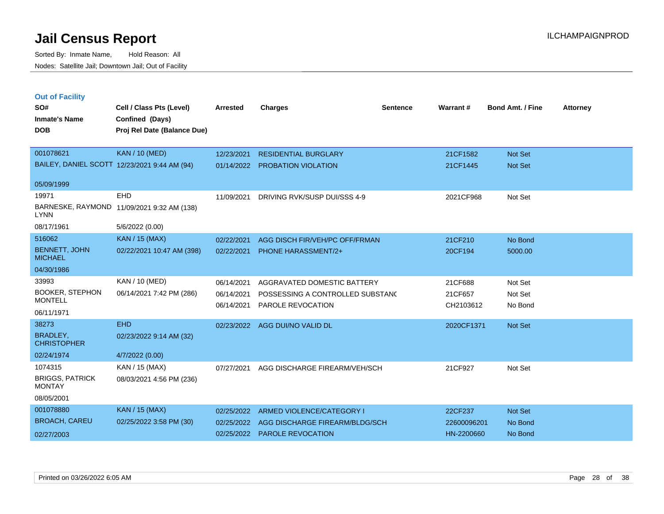**Out of Facility**

Sorted By: Inmate Name, Hold Reason: All Nodes: Satellite Jail; Downtown Jail; Out of Facility

| SO#<br><b>Inmate's Name</b><br><b>DOB</b> | Cell / Class Pts (Level)<br>Confined (Days)<br>Proj Rel Date (Balance Due) | <b>Arrested</b> | <b>Charges</b>                   | <b>Sentence</b> | Warrant#   | <b>Bond Amt. / Fine</b> | <b>Attorney</b> |
|-------------------------------------------|----------------------------------------------------------------------------|-----------------|----------------------------------|-----------------|------------|-------------------------|-----------------|
| 001078621                                 | <b>KAN / 10 (MED)</b>                                                      | 12/23/2021      | <b>RESIDENTIAL BURGLARY</b>      |                 | 21CF1582   | Not Set                 |                 |
|                                           | BAILEY, DANIEL SCOTT 12/23/2021 9:44 AM (94)                               | 01/14/2022      | <b>PROBATION VIOLATION</b>       |                 | 21CF1445   | Not Set                 |                 |
| 05/09/1999                                |                                                                            |                 |                                  |                 |            |                         |                 |
| 19971                                     | <b>EHD</b>                                                                 | 11/09/2021      | DRIVING RVK/SUSP DUI/SSS 4-9     |                 | 2021CF968  | Not Set                 |                 |
| <b>LYNN</b>                               | BARNESKE, RAYMOND 11/09/2021 9:32 AM (138)                                 |                 |                                  |                 |            |                         |                 |
| 08/17/1961                                | 5/6/2022 (0.00)                                                            |                 |                                  |                 |            |                         |                 |
| 516062                                    | <b>KAN / 15 (MAX)</b>                                                      | 02/22/2021      | AGG DISCH FIR/VEH/PC OFF/FRMAN   |                 | 21CF210    | No Bond                 |                 |
| <b>BENNETT, JOHN</b><br><b>MICHAEL</b>    | 02/22/2021 10:47 AM (398)                                                  | 02/22/2021      | <b>PHONE HARASSMENT/2+</b>       |                 | 20CF194    | 5000.00                 |                 |
| 04/30/1986                                |                                                                            |                 |                                  |                 |            |                         |                 |
| 33993                                     | KAN / 10 (MED)                                                             | 06/14/2021      | AGGRAVATED DOMESTIC BATTERY      |                 | 21CF688    | Not Set                 |                 |
| <b>BOOKER, STEPHON</b>                    | 06/14/2021 7:42 PM (286)                                                   | 06/14/2021      | POSSESSING A CONTROLLED SUBSTANC |                 | 21CF657    | Not Set                 |                 |
| <b>MONTELL</b>                            |                                                                            | 06/14/2021      | PAROLE REVOCATION                |                 | CH2103612  | No Bond                 |                 |
| 06/11/1971                                |                                                                            |                 |                                  |                 |            |                         |                 |
| 38273                                     | <b>EHD</b>                                                                 | 02/23/2022      | AGG DUI/NO VALID DL              |                 | 2020CF1371 | <b>Not Set</b>          |                 |
| <b>BRADLEY,</b><br><b>CHRISTOPHER</b>     | 02/23/2022 9:14 AM (32)                                                    |                 |                                  |                 |            |                         |                 |
| 02/24/1974                                | 4/7/2022 (0.00)                                                            |                 |                                  |                 |            |                         |                 |
| 1074315                                   | KAN / 15 (MAX)                                                             | 07/27/2021      | AGG DISCHARGE FIREARM/VEH/SCH    |                 | 21CF927    | Not Set                 |                 |
| <b>BRIGGS, PATRICK</b><br><b>MONTAY</b>   | 08/03/2021 4:56 PM (236)                                                   |                 |                                  |                 |            |                         |                 |

08/05/2001

| 001078880     | KAN / 15 (MAX)          | 02/25/2022 ARMED VIOLENCE/CATEGORY I      | 22CF237     | Not Set |
|---------------|-------------------------|-------------------------------------------|-------------|---------|
| BROACH, CAREU | 02/25/2022 3:58 PM (30) | 02/25/2022 AGG DISCHARGE FIREARM/BLDG/SCH | 22600096201 | No Bond |
| 02/27/2003    |                         | 02/25/2022 PAROLE REVOCATION              | HN-2200660  | No Bond |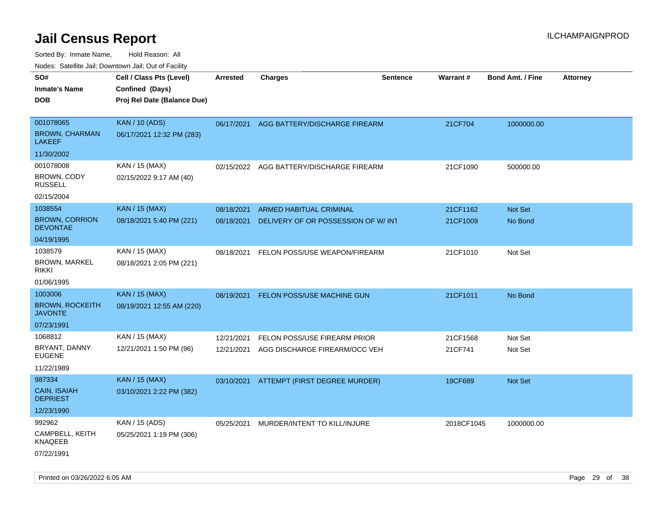| rouco. Calcinic Jan, Downtown Jan, Out of Facility      |                                                                            |                          |                                                               |                 |                      |                         |                 |
|---------------------------------------------------------|----------------------------------------------------------------------------|--------------------------|---------------------------------------------------------------|-----------------|----------------------|-------------------------|-----------------|
| SO#<br>Inmate's Name<br><b>DOB</b>                      | Cell / Class Pts (Level)<br>Confined (Days)<br>Proj Rel Date (Balance Due) | <b>Arrested</b>          | <b>Charges</b>                                                | <b>Sentence</b> | Warrant#             | <b>Bond Amt. / Fine</b> | <b>Attorney</b> |
| 001078065<br><b>BROWN, CHARMAN</b><br><b>LAKEEF</b>     | <b>KAN / 10 (ADS)</b><br>06/17/2021 12:32 PM (283)                         |                          | 06/17/2021 AGG BATTERY/DISCHARGE FIREARM                      |                 | 21CF704              | 1000000.00              |                 |
| 11/30/2002                                              |                                                                            |                          |                                                               |                 |                      |                         |                 |
| 001078008<br>BROWN, CODY<br><b>RUSSELL</b>              | KAN / 15 (MAX)<br>02/15/2022 9:17 AM (40)                                  |                          | 02/15/2022 AGG BATTERY/DISCHARGE FIREARM                      |                 | 21CF1090             | 500000.00               |                 |
| 02/15/2004                                              |                                                                            |                          |                                                               |                 |                      |                         |                 |
| 1038554<br><b>BROWN, CORRION</b><br><b>DEVONTAE</b>     | <b>KAN / 15 (MAX)</b><br>08/18/2021 5:40 PM (221)                          | 08/18/2021<br>08/18/2021 | ARMED HABITUAL CRIMINAL<br>DELIVERY OF OR POSSESSION OF W/INT |                 | 21CF1162<br>21CF1009 | Not Set<br>No Bond      |                 |
| 04/19/1995                                              |                                                                            |                          |                                                               |                 |                      |                         |                 |
| 1038579<br>BROWN, MARKEL<br>rikki                       | KAN / 15 (MAX)<br>08/18/2021 2:05 PM (221)                                 | 08/18/2021               | FELON POSS/USE WEAPON/FIREARM                                 |                 | 21CF1010             | Not Set                 |                 |
| 01/06/1995                                              |                                                                            |                          |                                                               |                 |                      |                         |                 |
| 1003006<br><b>BROWN, ROCKEITH</b><br>JAVONTE            | <b>KAN / 15 (MAX)</b><br>08/19/2021 12:55 AM (220)                         | 08/19/2021               | <b>FELON POSS/USE MACHINE GUN</b>                             |                 | 21CF1011             | No Bond                 |                 |
| 07/23/1991                                              |                                                                            |                          |                                                               |                 |                      |                         |                 |
| 1068812<br>BRYANT, DANNY<br>EUGENE<br>11/22/1989        | KAN / 15 (MAX)<br>12/21/2021 1:50 PM (96)                                  | 12/21/2021<br>12/21/2021 | FELON POSS/USE FIREARM PRIOR<br>AGG DISCHARGE FIREARM/OCC VEH |                 | 21CF1568<br>21CF741  | Not Set<br>Not Set      |                 |
| 987334<br>CAIN, ISAIAH<br><b>DEPRIEST</b><br>12/23/1990 | <b>KAN / 15 (MAX)</b><br>03/10/2021 2:22 PM (382)                          |                          | 03/10/2021 ATTEMPT (FIRST DEGREE MURDER)                      |                 | 19CF689              | <b>Not Set</b>          |                 |
| 992962<br>CAMPBELL, KEITH<br>KNAQEEB<br>07/22/1991      | KAN / 15 (ADS)<br>05/25/2021 1:19 PM (306)                                 | 05/25/2021               | MURDER/INTENT TO KILL/INJURE                                  |                 | 2018CF1045           | 1000000.00              |                 |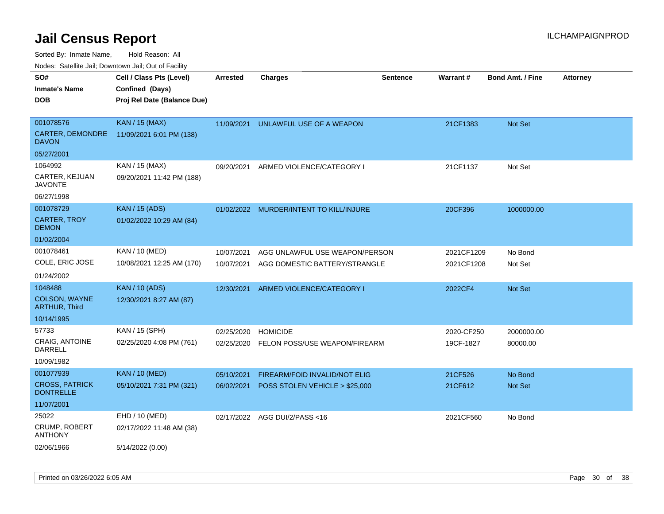Sorted By: Inmate Name, Hold Reason: All

Nodes: Satellite Jail; Downtown Jail; Out of Facility

| SO#                                       | Cell / Class Pts (Level)    | <b>Arrested</b> | <b>Charges</b>                       | <b>Sentence</b> | Warrant#   | <b>Bond Amt. / Fine</b> | <b>Attorney</b> |
|-------------------------------------------|-----------------------------|-----------------|--------------------------------------|-----------------|------------|-------------------------|-----------------|
| <b>Inmate's Name</b>                      | Confined (Days)             |                 |                                      |                 |            |                         |                 |
| <b>DOB</b>                                | Proj Rel Date (Balance Due) |                 |                                      |                 |            |                         |                 |
|                                           |                             |                 |                                      |                 |            |                         |                 |
| 001078576                                 | <b>KAN / 15 (MAX)</b>       | 11/09/2021      | UNLAWFUL USE OF A WEAPON             |                 | 21CF1383   | Not Set                 |                 |
| CARTER, DEMONDRE<br><b>DAVON</b>          | 11/09/2021 6:01 PM (138)    |                 |                                      |                 |            |                         |                 |
| 05/27/2001                                |                             |                 |                                      |                 |            |                         |                 |
| 1064992                                   | KAN / 15 (MAX)              | 09/20/2021      | ARMED VIOLENCE/CATEGORY I            |                 | 21CF1137   | Not Set                 |                 |
| CARTER, KEJUAN<br><b>JAVONTE</b>          | 09/20/2021 11:42 PM (188)   |                 |                                      |                 |            |                         |                 |
| 06/27/1998                                |                             |                 |                                      |                 |            |                         |                 |
| 001078729                                 | <b>KAN / 15 (ADS)</b>       | 01/02/2022      | MURDER/INTENT TO KILL/INJURE         |                 | 20CF396    | 1000000.00              |                 |
| <b>CARTER, TROY</b><br><b>DEMON</b>       | 01/02/2022 10:29 AM (84)    |                 |                                      |                 |            |                         |                 |
| 01/02/2004                                |                             |                 |                                      |                 |            |                         |                 |
| 001078461                                 | KAN / 10 (MED)              | 10/07/2021      | AGG UNLAWFUL USE WEAPON/PERSON       |                 | 2021CF1209 | No Bond                 |                 |
| COLE, ERIC JOSE                           | 10/08/2021 12:25 AM (170)   | 10/07/2021      | AGG DOMESTIC BATTERY/STRANGLE        |                 | 2021CF1208 | Not Set                 |                 |
| 01/24/2002                                |                             |                 |                                      |                 |            |                         |                 |
| 1048488                                   | <b>KAN / 10 (ADS)</b>       | 12/30/2021      | ARMED VIOLENCE/CATEGORY I            |                 | 2022CF4    | Not Set                 |                 |
| COLSON, WAYNE<br><b>ARTHUR, Third</b>     | 12/30/2021 8:27 AM (87)     |                 |                                      |                 |            |                         |                 |
| 10/14/1995                                |                             |                 |                                      |                 |            |                         |                 |
| 57733                                     | KAN / 15 (SPH)              | 02/25/2020      | <b>HOMICIDE</b>                      |                 | 2020-CF250 | 2000000.00              |                 |
| CRAIG, ANTOINE<br><b>DARRELL</b>          | 02/25/2020 4:08 PM (761)    | 02/25/2020      | FELON POSS/USE WEAPON/FIREARM        |                 | 19CF-1827  | 80000.00                |                 |
| 10/09/1982                                |                             |                 |                                      |                 |            |                         |                 |
| 001077939                                 | <b>KAN / 10 (MED)</b>       | 05/10/2021      | <b>FIREARM/FOID INVALID/NOT ELIG</b> |                 | 21CF526    | No Bond                 |                 |
| <b>CROSS, PATRICK</b><br><b>DONTRELLE</b> | 05/10/2021 7:31 PM (321)    | 06/02/2021      | POSS STOLEN VEHICLE > \$25,000       |                 | 21CF612    | Not Set                 |                 |
| 11/07/2001                                |                             |                 |                                      |                 |            |                         |                 |
| 25022                                     | EHD / 10 (MED)              |                 | 02/17/2022 AGG DUI/2/PASS<16         |                 | 2021CF560  | No Bond                 |                 |
| CRUMP, ROBERT<br><b>ANTHONY</b>           | 02/17/2022 11:48 AM (38)    |                 |                                      |                 |            |                         |                 |
| 02/06/1966                                | 5/14/2022 (0.00)            |                 |                                      |                 |            |                         |                 |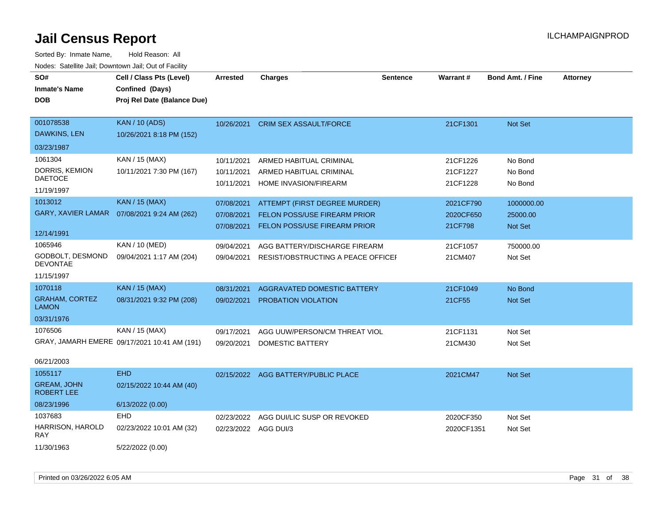| roaco. Catolino cali, Downtown cali, Out of Fability |                                              |                      |                                              |                 |            |                         |                 |
|------------------------------------------------------|----------------------------------------------|----------------------|----------------------------------------------|-----------------|------------|-------------------------|-----------------|
| SO#                                                  | Cell / Class Pts (Level)                     | <b>Arrested</b>      | <b>Charges</b>                               | <b>Sentence</b> | Warrant#   | <b>Bond Amt. / Fine</b> | <b>Attorney</b> |
| <b>Inmate's Name</b>                                 | Confined (Days)                              |                      |                                              |                 |            |                         |                 |
| <b>DOB</b>                                           | Proj Rel Date (Balance Due)                  |                      |                                              |                 |            |                         |                 |
|                                                      |                                              |                      |                                              |                 |            |                         |                 |
| 001078538                                            | <b>KAN / 10 (ADS)</b>                        |                      | 10/26/2021 CRIM SEX ASSAULT/FORCE            |                 | 21CF1301   | Not Set                 |                 |
| DAWKINS, LEN                                         | 10/26/2021 8:18 PM (152)                     |                      |                                              |                 |            |                         |                 |
| 03/23/1987                                           |                                              |                      |                                              |                 |            |                         |                 |
| 1061304                                              | KAN / 15 (MAX)                               | 10/11/2021           | ARMED HABITUAL CRIMINAL                      |                 | 21CF1226   | No Bond                 |                 |
| DORRIS, KEMION                                       | 10/11/2021 7:30 PM (167)                     | 10/11/2021           | ARMED HABITUAL CRIMINAL                      |                 | 21CF1227   | No Bond                 |                 |
| <b>DAETOCE</b>                                       |                                              | 10/11/2021           | HOME INVASION/FIREARM                        |                 | 21CF1228   | No Bond                 |                 |
| 11/19/1997                                           |                                              |                      |                                              |                 |            |                         |                 |
| 1013012                                              | <b>KAN / 15 (MAX)</b>                        | 07/08/2021           | ATTEMPT (FIRST DEGREE MURDER)                |                 | 2021CF790  | 1000000.00              |                 |
| <b>GARY, XAVIER LAMAR</b>                            | 07/08/2021 9:24 AM (262)                     | 07/08/2021           | <b>FELON POSS/USE FIREARM PRIOR</b>          |                 | 2020CF650  | 25000.00                |                 |
|                                                      |                                              | 07/08/2021           | FELON POSS/USE FIREARM PRIOR                 |                 | 21CF798    | Not Set                 |                 |
| 12/14/1991                                           |                                              |                      |                                              |                 |            |                         |                 |
| 1065946                                              | KAN / 10 (MED)                               | 09/04/2021           | AGG BATTERY/DISCHARGE FIREARM                |                 | 21CF1057   | 750000.00               |                 |
| GODBOLT, DESMOND<br><b>DEVONTAE</b>                  | 09/04/2021 1:17 AM (204)                     |                      | 09/04/2021 RESIST/OBSTRUCTING A PEACE OFFICE |                 | 21CM407    | Not Set                 |                 |
| 11/15/1997                                           |                                              |                      |                                              |                 |            |                         |                 |
| 1070118                                              | <b>KAN / 15 (MAX)</b>                        | 08/31/2021           | AGGRAVATED DOMESTIC BATTERY                  |                 | 21CF1049   | No Bond                 |                 |
| <b>GRAHAM, CORTEZ</b><br><b>LAMON</b>                | 08/31/2021 9:32 PM (208)                     | 09/02/2021           | PROBATION VIOLATION                          |                 | 21CF55     | Not Set                 |                 |
| 03/31/1976                                           |                                              |                      |                                              |                 |            |                         |                 |
| 1076506                                              | KAN / 15 (MAX)                               | 09/17/2021           | AGG UUW/PERSON/CM THREAT VIOL                |                 | 21CF1131   | Not Set                 |                 |
|                                                      | GRAY, JAMARH EMERE 09/17/2021 10:41 AM (191) | 09/20/2021           | DOMESTIC BATTERY                             |                 | 21CM430    | Not Set                 |                 |
|                                                      |                                              |                      |                                              |                 |            |                         |                 |
| 06/21/2003                                           |                                              |                      |                                              |                 |            |                         |                 |
| 1055117                                              | <b>EHD</b>                                   |                      | 02/15/2022 AGG BATTERY/PUBLIC PLACE          |                 | 2021CM47   | Not Set                 |                 |
| <b>GREAM, JOHN</b><br><b>ROBERT LEE</b>              | 02/15/2022 10:44 AM (40)                     |                      |                                              |                 |            |                         |                 |
| 08/23/1996                                           | 6/13/2022 (0.00)                             |                      |                                              |                 |            |                         |                 |
| 1037683                                              | <b>EHD</b>                                   | 02/23/2022           | AGG DUI/LIC SUSP OR REVOKED                  |                 | 2020CF350  | Not Set                 |                 |
| HARRISON, HAROLD<br><b>RAY</b>                       | 02/23/2022 10:01 AM (32)                     | 02/23/2022 AGG DUI/3 |                                              |                 | 2020CF1351 | Not Set                 |                 |
| 11/30/1963                                           | 5/22/2022 (0.00)                             |                      |                                              |                 |            |                         |                 |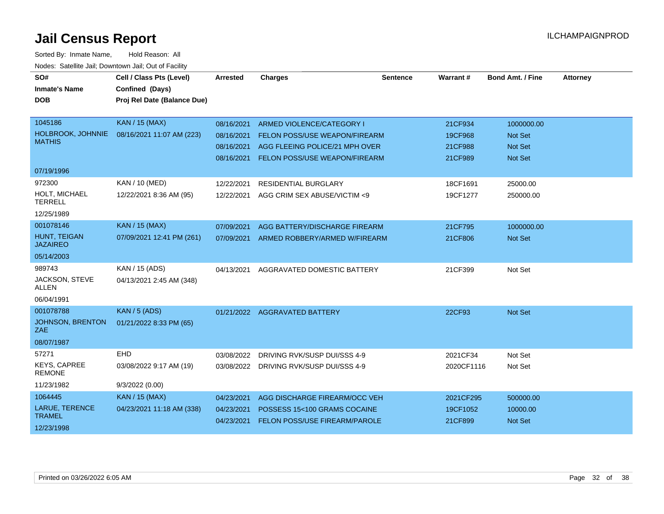| SO#                                  | Cell / Class Pts (Level)    | <b>Arrested</b> | <b>Charges</b>                           | <b>Sentence</b> | Warrant#   | <b>Bond Amt. / Fine</b> | <b>Attorney</b> |
|--------------------------------------|-----------------------------|-----------------|------------------------------------------|-----------------|------------|-------------------------|-----------------|
| <b>Inmate's Name</b>                 | Confined (Days)             |                 |                                          |                 |            |                         |                 |
| <b>DOB</b>                           | Proj Rel Date (Balance Due) |                 |                                          |                 |            |                         |                 |
|                                      |                             |                 |                                          |                 |            |                         |                 |
| 1045186                              | <b>KAN / 15 (MAX)</b>       | 08/16/2021      | ARMED VIOLENCE/CATEGORY I                |                 | 21CF934    | 1000000.00              |                 |
| HOLBROOK, JOHNNIE                    | 08/16/2021 11:07 AM (223)   | 08/16/2021      | FELON POSS/USE WEAPON/FIREARM            |                 | 19CF968    | Not Set                 |                 |
| <b>MATHIS</b>                        |                             | 08/16/2021      | AGG FLEEING POLICE/21 MPH OVER           |                 | 21CF988    | <b>Not Set</b>          |                 |
|                                      |                             | 08/16/2021      | FELON POSS/USE WEAPON/FIREARM            |                 | 21CF989    | <b>Not Set</b>          |                 |
| 07/19/1996                           |                             |                 |                                          |                 |            |                         |                 |
| 972300                               | KAN / 10 (MED)              | 12/22/2021      | RESIDENTIAL BURGLARY                     |                 | 18CF1691   | 25000.00                |                 |
| HOLT, MICHAEL<br><b>TERRELL</b>      | 12/22/2021 8:36 AM (95)     | 12/22/2021      | AGG CRIM SEX ABUSE/VICTIM <9             |                 | 19CF1277   | 250000.00               |                 |
| 12/25/1989                           |                             |                 |                                          |                 |            |                         |                 |
| 001078146                            | <b>KAN / 15 (MAX)</b>       | 07/09/2021      | AGG BATTERY/DISCHARGE FIREARM            |                 | 21CF795    | 1000000.00              |                 |
| HUNT, TEIGAN<br><b>JAZAIREO</b>      | 07/09/2021 12:41 PM (261)   |                 | 07/09/2021 ARMED ROBBERY/ARMED W/FIREARM |                 | 21CF806    | Not Set                 |                 |
| 05/14/2003                           |                             |                 |                                          |                 |            |                         |                 |
| 989743                               | KAN / 15 (ADS)              | 04/13/2021      | AGGRAVATED DOMESTIC BATTERY              |                 | 21CF399    | Not Set                 |                 |
| JACKSON, STEVE<br><b>ALLEN</b>       | 04/13/2021 2:45 AM (348)    |                 |                                          |                 |            |                         |                 |
| 06/04/1991                           |                             |                 |                                          |                 |            |                         |                 |
| 001078788                            | KAN / 5 (ADS)               |                 | 01/21/2022 AGGRAVATED BATTERY            |                 | 22CF93     | Not Set                 |                 |
| <b>JOHNSON, BRENTON</b><br>ZAE       | 01/21/2022 8:33 PM (65)     |                 |                                          |                 |            |                         |                 |
| 08/07/1987                           |                             |                 |                                          |                 |            |                         |                 |
| 57271                                | EHD                         | 03/08/2022      | DRIVING RVK/SUSP DUI/SSS 4-9             |                 | 2021CF34   | Not Set                 |                 |
| <b>KEYS, CAPREE</b><br><b>REMONE</b> | 03/08/2022 9:17 AM (19)     | 03/08/2022      | DRIVING RVK/SUSP DUI/SSS 4-9             |                 | 2020CF1116 | Not Set                 |                 |
| 11/23/1982                           | 9/3/2022(0.00)              |                 |                                          |                 |            |                         |                 |
| 1064445                              | <b>KAN / 15 (MAX)</b>       | 04/23/2021      | AGG DISCHARGE FIREARM/OCC VEH            |                 | 2021CF295  | 500000.00               |                 |
| LARUE, TERENCE                       | 04/23/2021 11:18 AM (338)   | 04/23/2021      | POSSESS 15<100 GRAMS COCAINE             |                 | 19CF1052   | 10000.00                |                 |
| <b>TRAMEL</b>                        |                             | 04/23/2021      | FELON POSS/USE FIREARM/PAROLE            |                 | 21CF899    | Not Set                 |                 |
| 12/23/1998                           |                             |                 |                                          |                 |            |                         |                 |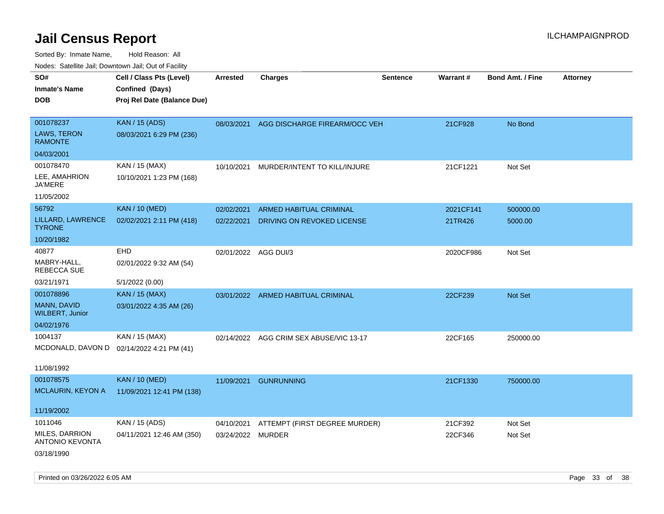| 110a00. 0atomto 0an, Domntonn 0an, 0at 011 aoint   |                                                                            |                          |                                                       |                 |                      |                         |                 |
|----------------------------------------------------|----------------------------------------------------------------------------|--------------------------|-------------------------------------------------------|-----------------|----------------------|-------------------------|-----------------|
| SO#<br><b>Inmate's Name</b><br><b>DOB</b>          | Cell / Class Pts (Level)<br>Confined (Days)<br>Proj Rel Date (Balance Due) | <b>Arrested</b>          | <b>Charges</b>                                        | <b>Sentence</b> | Warrant#             | <b>Bond Amt. / Fine</b> | <b>Attorney</b> |
| 001078237<br>LAWS, TERON<br><b>RAMONTE</b>         | <b>KAN / 15 (ADS)</b><br>08/03/2021 6:29 PM (236)                          | 08/03/2021               | AGG DISCHARGE FIREARM/OCC VEH                         |                 | 21CF928              | No Bond                 |                 |
| 04/03/2001                                         |                                                                            |                          |                                                       |                 |                      |                         |                 |
| 001078470<br>LEE, AMAHRION<br>JA'MERE              | KAN / 15 (MAX)<br>10/10/2021 1:23 PM (168)                                 | 10/10/2021               | MURDER/INTENT TO KILL/INJURE                          |                 | 21CF1221             | Not Set                 |                 |
| 11/05/2002                                         |                                                                            |                          |                                                       |                 |                      |                         |                 |
| 56792<br>LILLARD, LAWRENCE<br><b>TYRONE</b>        | <b>KAN / 10 (MED)</b><br>02/02/2021 2:11 PM (418)                          | 02/02/2021<br>02/22/2021 | ARMED HABITUAL CRIMINAL<br>DRIVING ON REVOKED LICENSE |                 | 2021CF141<br>21TR426 | 500000.00<br>5000.00    |                 |
| 10/20/1982                                         |                                                                            |                          |                                                       |                 |                      |                         |                 |
| 40877<br>MABRY-HALL,<br>REBECCA SUE                | EHD<br>02/01/2022 9:32 AM (54)                                             | 02/01/2022 AGG DUI/3     |                                                       |                 | 2020CF986            | Not Set                 |                 |
| 03/21/1971                                         | 5/1/2022 (0.00)                                                            |                          |                                                       |                 |                      |                         |                 |
| 001078896<br>MANN, DAVID<br><b>WILBERT, Junior</b> | <b>KAN / 15 (MAX)</b><br>03/01/2022 4:35 AM (26)                           | 03/01/2022               | ARMED HABITUAL CRIMINAL                               |                 | 22CF239              | <b>Not Set</b>          |                 |
| 04/02/1976                                         |                                                                            |                          |                                                       |                 |                      |                         |                 |
| 1004137                                            | KAN / 15 (MAX)<br>MCDONALD, DAVON D 02/14/2022 4:21 PM (41)                |                          | 02/14/2022 AGG CRIM SEX ABUSE/VIC 13-17               |                 | 22CF165              | 250000.00               |                 |
| 11/08/1992                                         |                                                                            |                          |                                                       |                 |                      |                         |                 |
| 001078575<br>MCLAURIN, KEYON A                     | <b>KAN / 10 (MED)</b><br>11/09/2021 12:41 PM (138)                         | 11/09/2021               | <b>GUNRUNNING</b>                                     |                 | 21CF1330             | 750000.00               |                 |
| 11/19/2002                                         |                                                                            |                          |                                                       |                 |                      |                         |                 |
| 1011046                                            | KAN / 15 (ADS)                                                             | 04/10/2021               | ATTEMPT (FIRST DEGREE MURDER)                         |                 | 21CF392              | Not Set                 |                 |
| <b>MILES, DARRION</b><br><b>ANTONIO KEVONTA</b>    | 04/11/2021 12:46 AM (350)                                                  | 03/24/2022 MURDER        |                                                       |                 | 22CF346              | Not Set                 |                 |
| 03/18/1990                                         |                                                                            |                          |                                                       |                 |                      |                         |                 |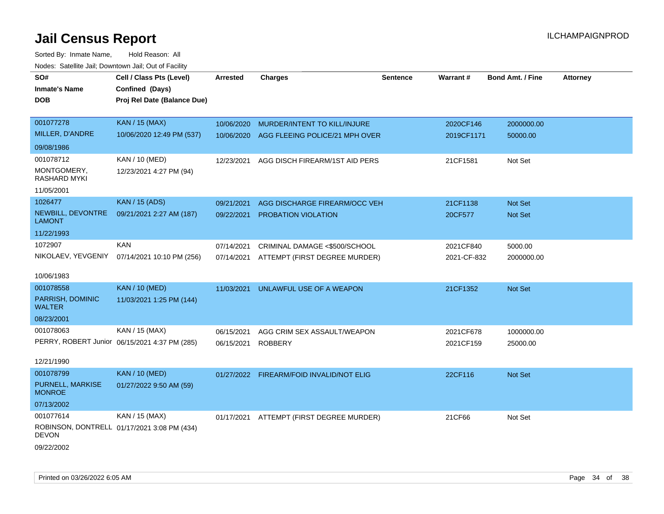| SO#                                | Cell / Class Pts (Level)                      | <b>Arrested</b> | <b>Charges</b>                           | <b>Sentence</b> | Warrant#    | <b>Bond Amt. / Fine</b> | <b>Attorney</b> |
|------------------------------------|-----------------------------------------------|-----------------|------------------------------------------|-----------------|-------------|-------------------------|-----------------|
| <b>Inmate's Name</b>               | Confined (Days)                               |                 |                                          |                 |             |                         |                 |
| <b>DOB</b>                         | Proj Rel Date (Balance Due)                   |                 |                                          |                 |             |                         |                 |
|                                    |                                               |                 |                                          |                 |             |                         |                 |
| 001077278                          | <b>KAN / 15 (MAX)</b>                         | 10/06/2020      | MURDER/INTENT TO KILL/INJURE             |                 | 2020CF146   | 2000000.00              |                 |
| MILLER, D'ANDRE                    | 10/06/2020 12:49 PM (537)                     | 10/06/2020      | AGG FLEEING POLICE/21 MPH OVER           |                 | 2019CF1171  | 50000.00                |                 |
| 09/08/1986                         |                                               |                 |                                          |                 |             |                         |                 |
| 001078712                          | KAN / 10 (MED)                                | 12/23/2021      | AGG DISCH FIREARM/1ST AID PERS           |                 | 21CF1581    | Not Set                 |                 |
| MONTGOMERY,<br>RASHARD MYKI        | 12/23/2021 4:27 PM (94)                       |                 |                                          |                 |             |                         |                 |
| 11/05/2001                         |                                               |                 |                                          |                 |             |                         |                 |
| 1026477                            | <b>KAN / 15 (ADS)</b>                         | 09/21/2021      | AGG DISCHARGE FIREARM/OCC VEH            |                 | 21CF1138    | <b>Not Set</b>          |                 |
| NEWBILL, DEVONTRE<br><b>LAMONT</b> | 09/21/2021 2:27 AM (187)                      | 09/22/2021      | PROBATION VIOLATION                      |                 | 20CF577     | Not Set                 |                 |
| 11/22/1993                         |                                               |                 |                                          |                 |             |                         |                 |
| 1072907                            | <b>KAN</b>                                    | 07/14/2021      | CRIMINAL DAMAGE <\$500/SCHOOL            |                 | 2021CF840   | 5000.00                 |                 |
| NIKOLAEV, YEVGENIY                 | 07/14/2021 10:10 PM (256)                     | 07/14/2021      | ATTEMPT (FIRST DEGREE MURDER)            |                 | 2021-CF-832 | 2000000.00              |                 |
| 10/06/1983                         |                                               |                 |                                          |                 |             |                         |                 |
| 001078558                          | <b>KAN / 10 (MED)</b>                         | 11/03/2021      | UNLAWFUL USE OF A WEAPON                 |                 | 21CF1352    | Not Set                 |                 |
| PARRISH, DOMINIC<br><b>WALTER</b>  | 11/03/2021 1:25 PM (144)                      |                 |                                          |                 |             |                         |                 |
| 08/23/2001                         |                                               |                 |                                          |                 |             |                         |                 |
| 001078063                          | KAN / 15 (MAX)                                | 06/15/2021      | AGG CRIM SEX ASSAULT/WEAPON              |                 | 2021CF678   | 1000000.00              |                 |
|                                    | PERRY, ROBERT Junior 06/15/2021 4:37 PM (285) | 06/15/2021      | <b>ROBBERY</b>                           |                 | 2021CF159   | 25000.00                |                 |
| 12/21/1990                         |                                               |                 |                                          |                 |             |                         |                 |
| 001078799                          | <b>KAN / 10 (MED)</b>                         |                 | 01/27/2022 FIREARM/FOID INVALID/NOT ELIG |                 | 22CF116     | Not Set                 |                 |
| PURNELL, MARKISE<br><b>MONROE</b>  | 01/27/2022 9:50 AM (59)                       |                 |                                          |                 |             |                         |                 |
| 07/13/2002                         |                                               |                 |                                          |                 |             |                         |                 |
| 001077614                          | KAN / 15 (MAX)                                | 01/17/2021      | ATTEMPT (FIRST DEGREE MURDER)            |                 | 21CF66      | Not Set                 |                 |
| <b>DEVON</b>                       | ROBINSON, DONTRELL 01/17/2021 3:08 PM (434)   |                 |                                          |                 |             |                         |                 |
| 09/22/2002                         |                                               |                 |                                          |                 |             |                         |                 |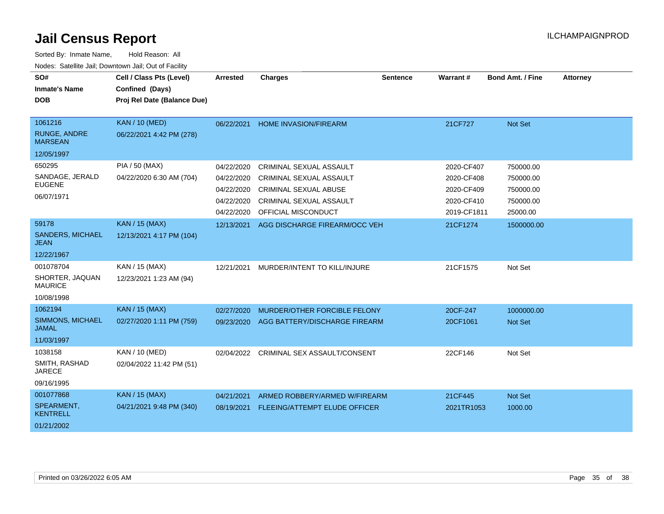| SO#<br><b>Inmate's Name</b><br><b>DOB</b> | Cell / Class Pts (Level)<br>Confined (Days)<br>Proj Rel Date (Balance Due) | Arrested   | <b>Charges</b>                       | <b>Sentence</b> | Warrant#    | <b>Bond Amt. / Fine</b> | <b>Attorney</b> |
|-------------------------------------------|----------------------------------------------------------------------------|------------|--------------------------------------|-----------------|-------------|-------------------------|-----------------|
|                                           |                                                                            |            |                                      |                 |             |                         |                 |
| 1061216                                   | <b>KAN / 10 (MED)</b>                                                      | 06/22/2021 | <b>HOME INVASION/FIREARM</b>         |                 | 21CF727     | Not Set                 |                 |
| <b>RUNGE, ANDRE</b><br><b>MARSEAN</b>     | 06/22/2021 4:42 PM (278)                                                   |            |                                      |                 |             |                         |                 |
| 12/05/1997                                |                                                                            |            |                                      |                 |             |                         |                 |
| 650295                                    | PIA / 50 (MAX)                                                             | 04/22/2020 | CRIMINAL SEXUAL ASSAULT              |                 | 2020-CF407  | 750000.00               |                 |
| SANDAGE, JERALD                           | 04/22/2020 6:30 AM (704)                                                   | 04/22/2020 | <b>CRIMINAL SEXUAL ASSAULT</b>       |                 | 2020-CF408  | 750000.00               |                 |
| <b>EUGENE</b>                             |                                                                            | 04/22/2020 | <b>CRIMINAL SEXUAL ABUSE</b>         |                 | 2020-CF409  | 750000.00               |                 |
| 06/07/1971                                |                                                                            | 04/22/2020 | CRIMINAL SEXUAL ASSAULT              |                 | 2020-CF410  | 750000.00               |                 |
|                                           |                                                                            | 04/22/2020 | OFFICIAL MISCONDUCT                  |                 | 2019-CF1811 | 25000.00                |                 |
| 59178                                     | <b>KAN / 15 (MAX)</b>                                                      | 12/13/2021 | AGG DISCHARGE FIREARM/OCC VEH        |                 | 21CF1274    | 1500000.00              |                 |
| SANDERS, MICHAEL<br>JEAN                  | 12/13/2021 4:17 PM (104)                                                   |            |                                      |                 |             |                         |                 |
| 12/22/1967                                |                                                                            |            |                                      |                 |             |                         |                 |
| 001078704                                 | KAN / 15 (MAX)                                                             | 12/21/2021 | MURDER/INTENT TO KILL/INJURE         |                 | 21CF1575    | Not Set                 |                 |
| SHORTER, JAQUAN<br><b>MAURICE</b>         | 12/23/2021 1:23 AM (94)                                                    |            |                                      |                 |             |                         |                 |
| 10/08/1998                                |                                                                            |            |                                      |                 |             |                         |                 |
| 1062194                                   | <b>KAN / 15 (MAX)</b>                                                      | 02/27/2020 | MURDER/OTHER FORCIBLE FELONY         |                 | 20CF-247    | 1000000.00              |                 |
| SIMMONS, MICHAEL<br><b>JAMAL</b>          | 02/27/2020 1:11 PM (759)                                                   | 09/23/2020 | AGG BATTERY/DISCHARGE FIREARM        |                 | 20CF1061    | <b>Not Set</b>          |                 |
| 11/03/1997                                |                                                                            |            |                                      |                 |             |                         |                 |
| 1038158                                   | KAN / 10 (MED)                                                             | 02/04/2022 | CRIMINAL SEX ASSAULT/CONSENT         |                 | 22CF146     | Not Set                 |                 |
| SMITH, RASHAD<br><b>JARECE</b>            | 02/04/2022 11:42 PM (51)                                                   |            |                                      |                 |             |                         |                 |
| 09/16/1995                                |                                                                            |            |                                      |                 |             |                         |                 |
| 001077868                                 | <b>KAN / 15 (MAX)</b>                                                      | 04/21/2021 | ARMED ROBBERY/ARMED W/FIREARM        |                 | 21CF445     | Not Set                 |                 |
| SPEARMENT,<br><b>KENTRELL</b>             | 04/21/2021 9:48 PM (340)                                                   | 08/19/2021 | <b>FLEEING/ATTEMPT ELUDE OFFICER</b> |                 | 2021TR1053  | 1000.00                 |                 |
| 01/21/2002                                |                                                                            |            |                                      |                 |             |                         |                 |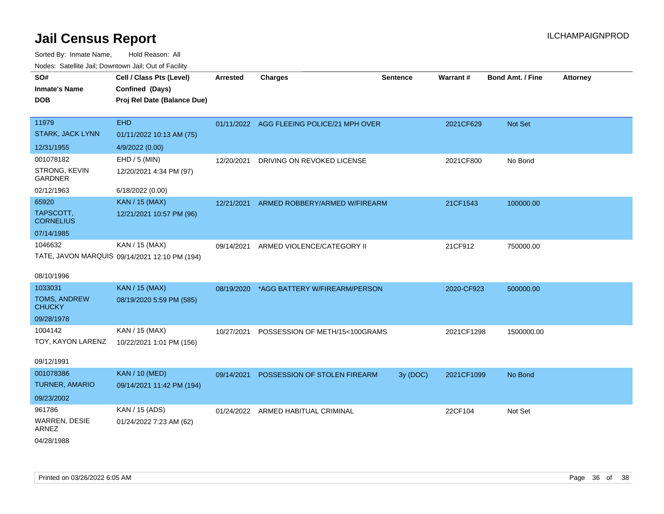| ivuuto. Saltiille Jali, Duwilluwii Jali, Oul of Facility |                                               |            |                                           |                 |            |                         |                 |
|----------------------------------------------------------|-----------------------------------------------|------------|-------------------------------------------|-----------------|------------|-------------------------|-----------------|
| SO#                                                      | Cell / Class Pts (Level)                      | Arrested   | <b>Charges</b>                            | <b>Sentence</b> | Warrant#   | <b>Bond Amt. / Fine</b> | <b>Attorney</b> |
| <b>Inmate's Name</b>                                     | Confined (Days)                               |            |                                           |                 |            |                         |                 |
| <b>DOB</b>                                               | Proj Rel Date (Balance Due)                   |            |                                           |                 |            |                         |                 |
|                                                          |                                               |            |                                           |                 |            |                         |                 |
| 11979                                                    | <b>EHD</b>                                    |            | 01/11/2022 AGG FLEEING POLICE/21 MPH OVER |                 | 2021CF629  | Not Set                 |                 |
| <b>STARK, JACK LYNN</b>                                  | 01/11/2022 10:13 AM (75)                      |            |                                           |                 |            |                         |                 |
| 12/31/1955                                               | 4/9/2022 (0.00)                               |            |                                           |                 |            |                         |                 |
| 001078182                                                | EHD / 5 (MIN)                                 | 12/20/2021 | DRIVING ON REVOKED LICENSE                |                 | 2021CF800  | No Bond                 |                 |
| STRONG, KEVIN<br><b>GARDNER</b>                          | 12/20/2021 4:34 PM (97)                       |            |                                           |                 |            |                         |                 |
| 02/12/1963                                               | 6/18/2022 (0.00)                              |            |                                           |                 |            |                         |                 |
| 65920                                                    | <b>KAN / 15 (MAX)</b>                         | 12/21/2021 | ARMED ROBBERY/ARMED W/FIREARM             |                 | 21CF1543   | 100000.00               |                 |
| TAPSCOTT,<br><b>CORNELIUS</b>                            | 12/21/2021 10:57 PM (96)                      |            |                                           |                 |            |                         |                 |
| 07/14/1985                                               |                                               |            |                                           |                 |            |                         |                 |
| 1046632                                                  | KAN / 15 (MAX)                                | 09/14/2021 | ARMED VIOLENCE/CATEGORY II                |                 | 21CF912    | 750000.00               |                 |
|                                                          | TATE, JAVON MARQUIS 09/14/2021 12:10 PM (194) |            |                                           |                 |            |                         |                 |
|                                                          |                                               |            |                                           |                 |            |                         |                 |
| 08/10/1996                                               |                                               |            |                                           |                 |            |                         |                 |
| 1033031                                                  | <b>KAN / 15 (MAX)</b>                         |            | 08/19/2020 *AGG BATTERY W/FIREARM/PERSON  |                 | 2020-CF923 | 500000.00               |                 |
| <b>TOMS, ANDREW</b><br><b>CHUCKY</b>                     | 08/19/2020 5:59 PM (585)                      |            |                                           |                 |            |                         |                 |
| 09/28/1978                                               |                                               |            |                                           |                 |            |                         |                 |
| 1004142                                                  | KAN / 15 (MAX)                                | 10/27/2021 | POSSESSION OF METH/15<100GRAMS            |                 | 2021CF1298 | 1500000.00              |                 |
| TOY, KAYON LARENZ                                        | 10/22/2021 1:01 PM (156)                      |            |                                           |                 |            |                         |                 |
| 09/12/1991                                               |                                               |            |                                           |                 |            |                         |                 |
| 001078386                                                | <b>KAN / 10 (MED)</b>                         | 09/14/2021 | POSSESSION OF STOLEN FIREARM              | 3y (DOC)        | 2021CF1099 | No Bond                 |                 |
| <b>TURNER, AMARIO</b>                                    | 09/14/2021 11:42 PM (194)                     |            |                                           |                 |            |                         |                 |
| 09/23/2002                                               |                                               |            |                                           |                 |            |                         |                 |
| 961786                                                   | KAN / 15 (ADS)                                |            | 01/24/2022 ARMED HABITUAL CRIMINAL        |                 | 22CF104    | Not Set                 |                 |
| WARREN, DESIE                                            | 01/24/2022 7:23 AM (62)                       |            |                                           |                 |            |                         |                 |
| <b>ARNEZ</b>                                             |                                               |            |                                           |                 |            |                         |                 |
| 04/28/1988                                               |                                               |            |                                           |                 |            |                         |                 |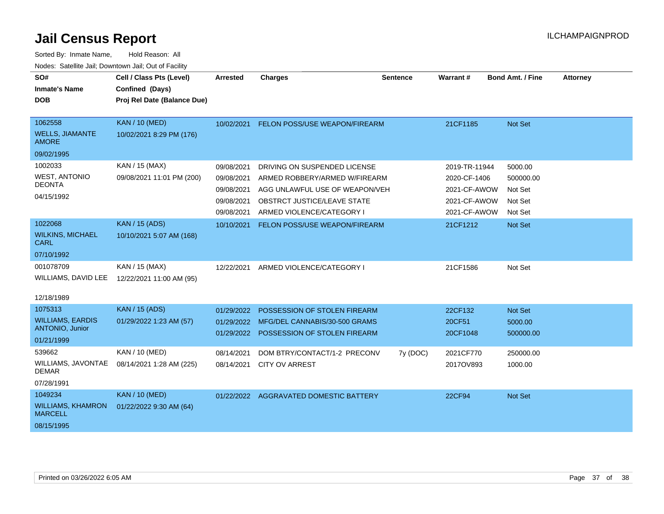| SO#                                        | Cell / Class Pts (Level)    | <b>Arrested</b> | <b>Charges</b>                          | <b>Sentence</b> | <b>Warrant#</b> | <b>Bond Amt. / Fine</b> | <b>Attorney</b> |
|--------------------------------------------|-----------------------------|-----------------|-----------------------------------------|-----------------|-----------------|-------------------------|-----------------|
| <b>Inmate's Name</b>                       | Confined (Days)             |                 |                                         |                 |                 |                         |                 |
| <b>DOB</b>                                 | Proj Rel Date (Balance Due) |                 |                                         |                 |                 |                         |                 |
|                                            |                             |                 |                                         |                 |                 |                         |                 |
| 1062558                                    | <b>KAN / 10 (MED)</b>       | 10/02/2021      | FELON POSS/USE WEAPON/FIREARM           |                 | 21CF1185        | Not Set                 |                 |
| <b>WELLS, JIAMANTE</b><br><b>AMORE</b>     | 10/02/2021 8:29 PM (176)    |                 |                                         |                 |                 |                         |                 |
| 09/02/1995                                 |                             |                 |                                         |                 |                 |                         |                 |
| 1002033                                    | KAN / 15 (MAX)              | 09/08/2021      | DRIVING ON SUSPENDED LICENSE            |                 | 2019-TR-11944   | 5000.00                 |                 |
| <b>WEST, ANTONIO</b>                       | 09/08/2021 11:01 PM (200)   | 09/08/2021      | ARMED ROBBERY/ARMED W/FIREARM           |                 | 2020-CF-1406    | 500000.00               |                 |
| <b>DEONTA</b>                              |                             | 09/08/2021      | AGG UNLAWFUL USE OF WEAPON/VEH          |                 | 2021-CF-AWOW    | Not Set                 |                 |
| 04/15/1992                                 |                             | 09/08/2021      | OBSTRCT JUSTICE/LEAVE STATE             |                 | 2021-CF-AWOW    | Not Set                 |                 |
|                                            |                             | 09/08/2021      | ARMED VIOLENCE/CATEGORY I               |                 | 2021-CF-AWOW    | Not Set                 |                 |
| 1022068                                    | <b>KAN / 15 (ADS)</b>       | 10/10/2021      | FELON POSS/USE WEAPON/FIREARM           |                 | 21CF1212        | Not Set                 |                 |
| <b>WILKINS, MICHAEL</b><br>CARL            | 10/10/2021 5:07 AM (168)    |                 |                                         |                 |                 |                         |                 |
| 07/10/1992                                 |                             |                 |                                         |                 |                 |                         |                 |
| 001078709                                  | KAN / 15 (MAX)              | 12/22/2021      | ARMED VIOLENCE/CATEGORY I               |                 | 21CF1586        | Not Set                 |                 |
| WILLIAMS, DAVID LEE                        | 12/22/2021 11:00 AM (95)    |                 |                                         |                 |                 |                         |                 |
| 12/18/1989                                 |                             |                 |                                         |                 |                 |                         |                 |
| 1075313                                    | <b>KAN / 15 (ADS)</b>       | 01/29/2022      | POSSESSION OF STOLEN FIREARM            |                 | 22CF132         | Not Set                 |                 |
| <b>WILLIAMS, EARDIS</b>                    | 01/29/2022 1:23 AM (57)     | 01/29/2022      | MFG/DEL CANNABIS/30-500 GRAMS           |                 | 20CF51          | 5000.00                 |                 |
| <b>ANTONIO, Junior</b>                     |                             |                 | 01/29/2022 POSSESSION OF STOLEN FIREARM |                 | 20CF1048        | 500000.00               |                 |
| 01/21/1999                                 |                             |                 |                                         |                 |                 |                         |                 |
| 539662                                     | KAN / 10 (MED)              | 08/14/2021      | DOM BTRY/CONTACT/1-2 PRECONV            | 7y (DOC)        | 2021CF770       | 250000.00               |                 |
| WILLIAMS, JAVONTAE<br><b>DEMAR</b>         | 08/14/2021 1:28 AM (225)    | 08/14/2021      | <b>CITY OV ARREST</b>                   |                 | 2017OV893       | 1000.00                 |                 |
| 07/28/1991                                 |                             |                 |                                         |                 |                 |                         |                 |
| 1049234                                    | <b>KAN / 10 (MED)</b>       |                 | 01/22/2022 AGGRAVATED DOMESTIC BATTERY  |                 | 22CF94          | Not Set                 |                 |
| <b>WILLIAMS, KHAMRON</b><br><b>MARCELL</b> | 01/22/2022 9:30 AM (64)     |                 |                                         |                 |                 |                         |                 |
| 08/15/1995                                 |                             |                 |                                         |                 |                 |                         |                 |